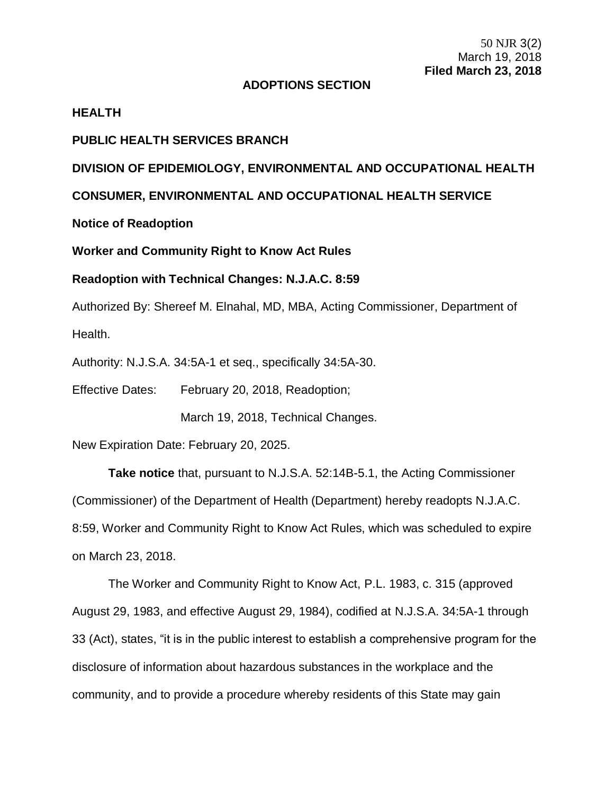50 NJR 3(2) March 19, 2018 **Filed March 23, 2018**

## **ADOPTIONS SECTION**

### **HEALTH**

## **PUBLIC HEALTH SERVICES BRANCH**

## **DIVISION OF EPIDEMIOLOGY, ENVIRONMENTAL AND OCCUPATIONAL HEALTH**

**CONSUMER, ENVIRONMENTAL AND OCCUPATIONAL HEALTH SERVICE**

**Notice of Readoption**

**Worker and Community Right to Know Act Rules**

## **Readoption with Technical Changes: N.J.A.C. 8:59**

Authorized By: Shereef M. Elnahal, MD, MBA, Acting Commissioner, Department of Health.

Authority: N.J.S.A. 34:5A-1 et seq., specifically 34:5A-30.

Effective Dates: February 20, 2018, Readoption;

March 19, 2018, Technical Changes.

New Expiration Date: February 20, 2025.

**Take notice** that, pursuant to N.J.S.A. 52:14B-5.1, the Acting Commissioner (Commissioner) of the Department of Health (Department) hereby readopts N.J.A.C. 8:59, Worker and Community Right to Know Act Rules, which was scheduled to expire on March 23, 2018.

The Worker and Community Right to Know Act, P.L. 1983, c. 315 (approved August 29, 1983, and effective August 29, 1984), codified at N.J.S.A. 34:5A-1 through 33 (Act), states, "it is in the public interest to establish a comprehensive program for the disclosure of information about hazardous substances in the workplace and the community, and to provide a procedure whereby residents of this State may gain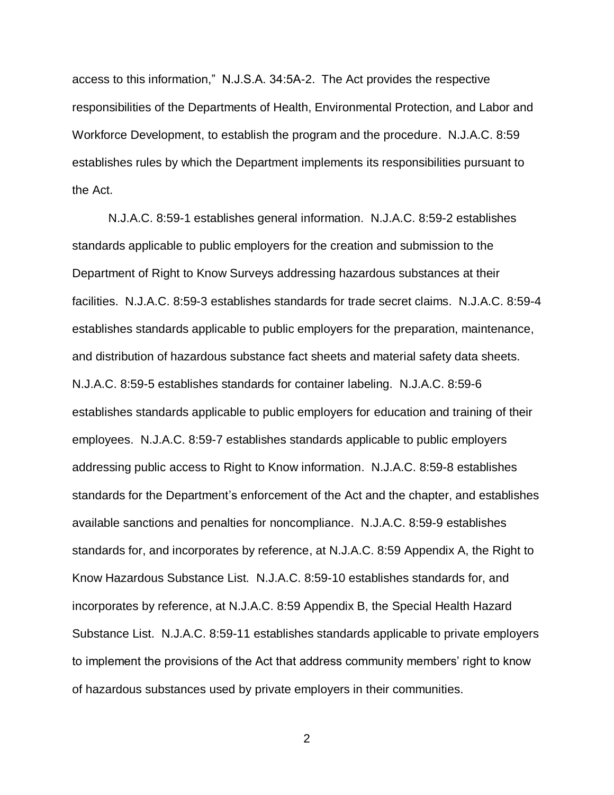access to this information," N.J.S.A. 34:5A-2. The Act provides the respective responsibilities of the Departments of Health, Environmental Protection, and Labor and Workforce Development, to establish the program and the procedure. N.J.A.C. 8:59 establishes rules by which the Department implements its responsibilities pursuant to the Act.

N.J.A.C. 8:59-1 establishes general information. N.J.A.C. 8:59-2 establishes standards applicable to public employers for the creation and submission to the Department of Right to Know Surveys addressing hazardous substances at their facilities. N.J.A.C. 8:59-3 establishes standards for trade secret claims. N.J.A.C. 8:59-4 establishes standards applicable to public employers for the preparation, maintenance, and distribution of hazardous substance fact sheets and material safety data sheets. N.J.A.C. 8:59-5 establishes standards for container labeling. N.J.A.C. 8:59-6 establishes standards applicable to public employers for education and training of their employees. N.J.A.C. 8:59-7 establishes standards applicable to public employers addressing public access to Right to Know information. N.J.A.C. 8:59-8 establishes standards for the Department's enforcement of the Act and the chapter, and establishes available sanctions and penalties for noncompliance. N.J.A.C. 8:59-9 establishes standards for, and incorporates by reference, at N.J.A.C. 8:59 Appendix A, the Right to Know Hazardous Substance List. N.J.A.C. 8:59-10 establishes standards for, and incorporates by reference, at N.J.A.C. 8:59 Appendix B, the Special Health Hazard Substance List. N.J.A.C. 8:59-11 establishes standards applicable to private employers to implement the provisions of the Act that address community members' right to know of hazardous substances used by private employers in their communities.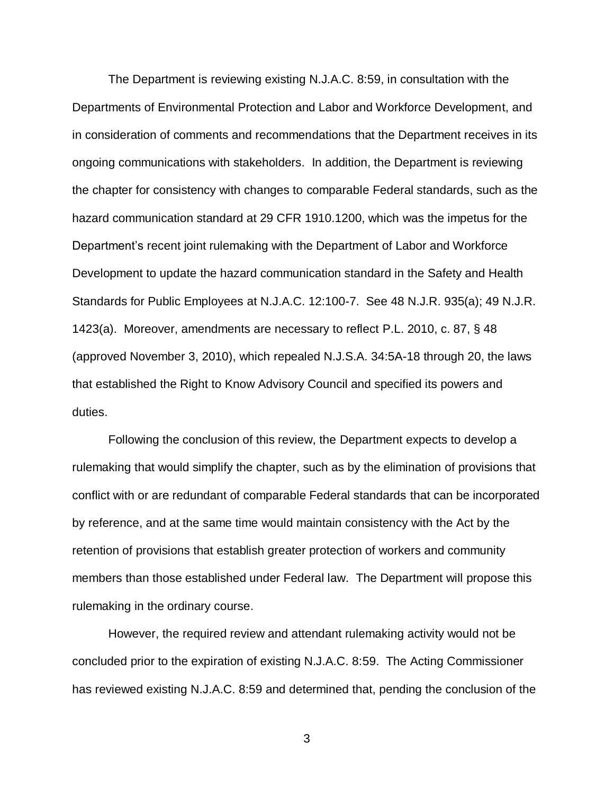The Department is reviewing existing N.J.A.C. 8:59, in consultation with the Departments of Environmental Protection and Labor and Workforce Development, and in consideration of comments and recommendations that the Department receives in its ongoing communications with stakeholders. In addition, the Department is reviewing the chapter for consistency with changes to comparable Federal standards, such as the hazard communication standard at 29 CFR 1910.1200, which was the impetus for the Department's recent joint rulemaking with the Department of Labor and Workforce Development to update the hazard communication standard in the Safety and Health Standards for Public Employees at N.J.A.C. 12:100-7. See 48 N.J.R. 935(a); 49 N.J.R. 1423(a). Moreover, amendments are necessary to reflect P.L. 2010, c. 87, § 48 (approved November 3, 2010), which repealed N.J.S.A. 34:5A-18 through 20, the laws that established the Right to Know Advisory Council and specified its powers and duties.

Following the conclusion of this review, the Department expects to develop a rulemaking that would simplify the chapter, such as by the elimination of provisions that conflict with or are redundant of comparable Federal standards that can be incorporated by reference, and at the same time would maintain consistency with the Act by the retention of provisions that establish greater protection of workers and community members than those established under Federal law. The Department will propose this rulemaking in the ordinary course.

However, the required review and attendant rulemaking activity would not be concluded prior to the expiration of existing N.J.A.C. 8:59. The Acting Commissioner has reviewed existing N.J.A.C. 8:59 and determined that, pending the conclusion of the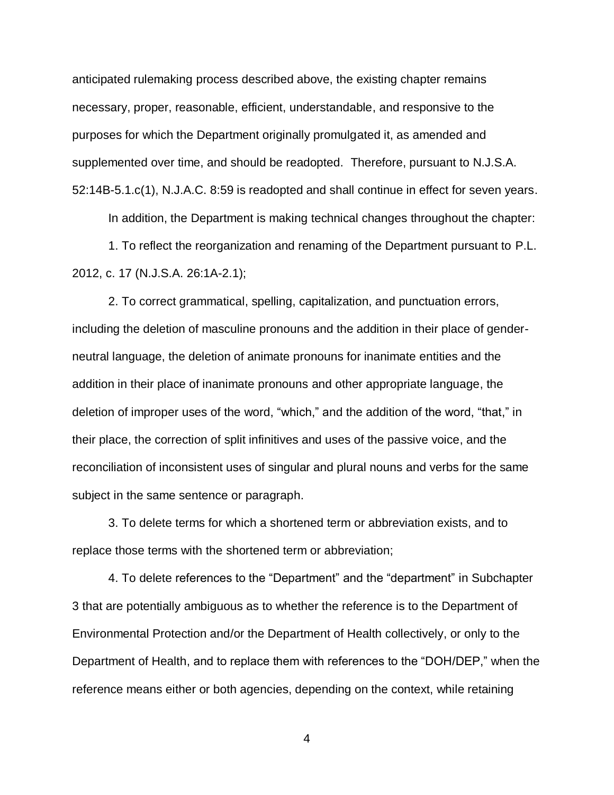anticipated rulemaking process described above, the existing chapter remains necessary, proper, reasonable, efficient, understandable, and responsive to the purposes for which the Department originally promulgated it, as amended and supplemented over time, and should be readopted. Therefore, pursuant to N.J.S.A. 52:14B-5.1.c(1), N.J.A.C. 8:59 is readopted and shall continue in effect for seven years.

In addition, the Department is making technical changes throughout the chapter: 1. To reflect the reorganization and renaming of the Department pursuant to P.L.

2012, c. 17 (N.J.S.A. 26:1A-2.1);

2. To correct grammatical, spelling, capitalization, and punctuation errors, including the deletion of masculine pronouns and the addition in their place of genderneutral language, the deletion of animate pronouns for inanimate entities and the addition in their place of inanimate pronouns and other appropriate language, the deletion of improper uses of the word, "which," and the addition of the word, "that," in their place, the correction of split infinitives and uses of the passive voice, and the reconciliation of inconsistent uses of singular and plural nouns and verbs for the same subject in the same sentence or paragraph.

3. To delete terms for which a shortened term or abbreviation exists, and to replace those terms with the shortened term or abbreviation;

4. To delete references to the "Department" and the "department" in Subchapter 3 that are potentially ambiguous as to whether the reference is to the Department of Environmental Protection and/or the Department of Health collectively, or only to the Department of Health, and to replace them with references to the "DOH/DEP," when the reference means either or both agencies, depending on the context, while retaining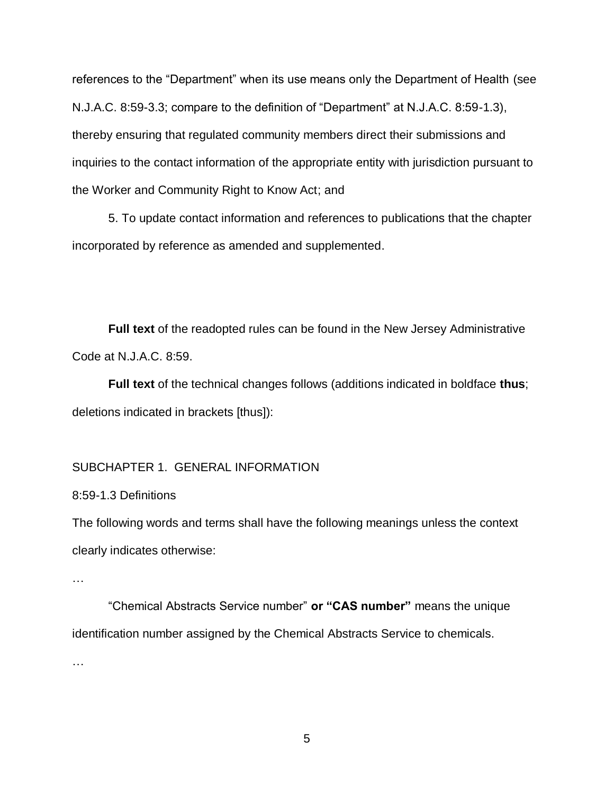references to the "Department" when its use means only the Department of Health (see N.J.A.C. 8:59-3.3; compare to the definition of "Department" at N.J.A.C. 8:59-1.3), thereby ensuring that regulated community members direct their submissions and inquiries to the contact information of the appropriate entity with jurisdiction pursuant to the Worker and Community Right to Know Act; and

5. To update contact information and references to publications that the chapter incorporated by reference as amended and supplemented.

**Full text** of the readopted rules can be found in the New Jersey Administrative Code at N.J.A.C. 8:59.

**Full text** of the technical changes follows (additions indicated in boldface **thus**; deletions indicated in brackets [thus]):

## SUBCHAPTER 1. GENERAL INFORMATION

8:59-1.3 Definitions

The following words and terms shall have the following meanings unless the context clearly indicates otherwise:

…

"Chemical Abstracts Service number" **or "CAS number"** means the unique identification number assigned by the Chemical Abstracts Service to chemicals.

…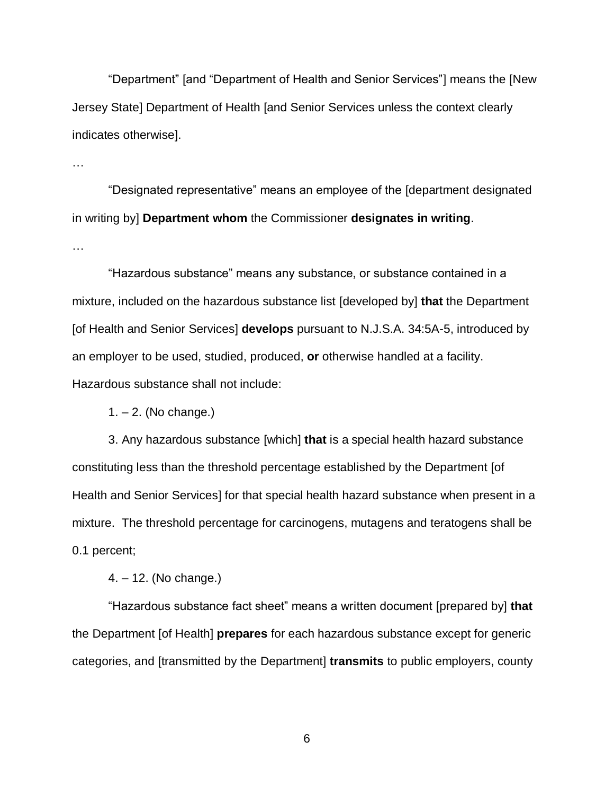"Department" [and "Department of Health and Senior Services"] means the [New Jersey State] Department of Health [and Senior Services unless the context clearly indicates otherwise].

…

"Designated representative" means an employee of the [department designated in writing by] **Department whom** the Commissioner **designates in writing**.

…

"Hazardous substance" means any substance, or substance contained in a mixture, included on the hazardous substance list [developed by] **that** the Department [of Health and Senior Services] **develops** pursuant to N.J.S.A. 34:5A-5, introduced by an employer to be used, studied, produced, **or** otherwise handled at a facility. Hazardous substance shall not include:

1. – 2. (No change.)

3. Any hazardous substance [which] **that** is a special health hazard substance constituting less than the threshold percentage established by the Department [of Health and Senior Services] for that special health hazard substance when present in a mixture. The threshold percentage for carcinogens, mutagens and teratogens shall be 0.1 percent;

4. – 12. (No change.)

"Hazardous substance fact sheet" means a written document [prepared by] **that**  the Department [of Health] **prepares** for each hazardous substance except for generic categories, and [transmitted by the Department] **transmits** to public employers, county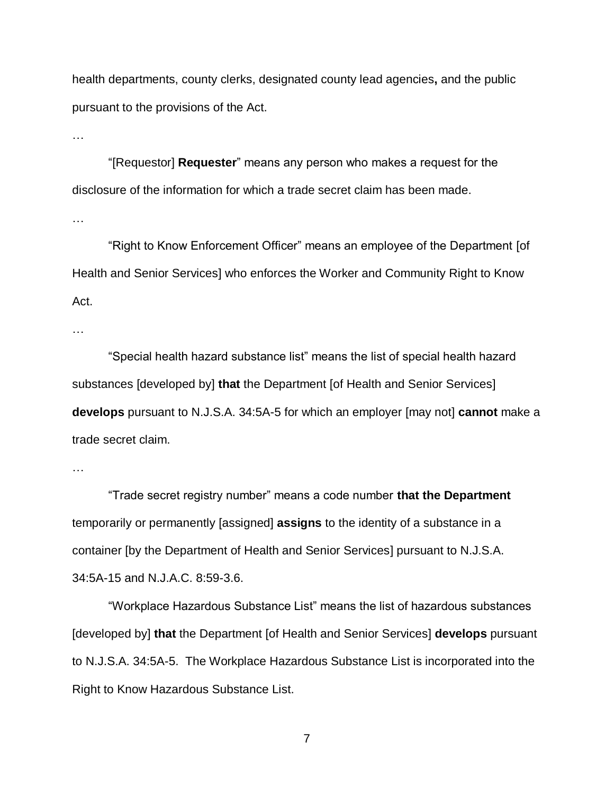health departments, county clerks, designated county lead agencies**,** and the public pursuant to the provisions of the Act.

…

"[Requestor] **Requester**" means any person who makes a request for the disclosure of the information for which a trade secret claim has been made.

…

"Right to Know Enforcement Officer" means an employee of the Department [of Health and Senior Services] who enforces the Worker and Community Right to Know Act.

…

"Special health hazard substance list" means the list of special health hazard substances [developed by] **that** the Department [of Health and Senior Services] **develops** pursuant to N.J.S.A. 34:5A-5 for which an employer [may not] **cannot** make a trade secret claim.

"Trade secret registry number" means a code number **that the Department**  temporarily or permanently [assigned] **assigns** to the identity of a substance in a container [by the Department of Health and Senior Services] pursuant to N.J.S.A. 34:5A-15 and N.J.A.C. 8:59-3.6.

"Workplace Hazardous Substance List" means the list of hazardous substances [developed by] **that** the Department [of Health and Senior Services] **develops** pursuant to N.J.S.A. 34:5A-5. The Workplace Hazardous Substance List is incorporated into the Right to Know Hazardous Substance List.

<sup>…</sup>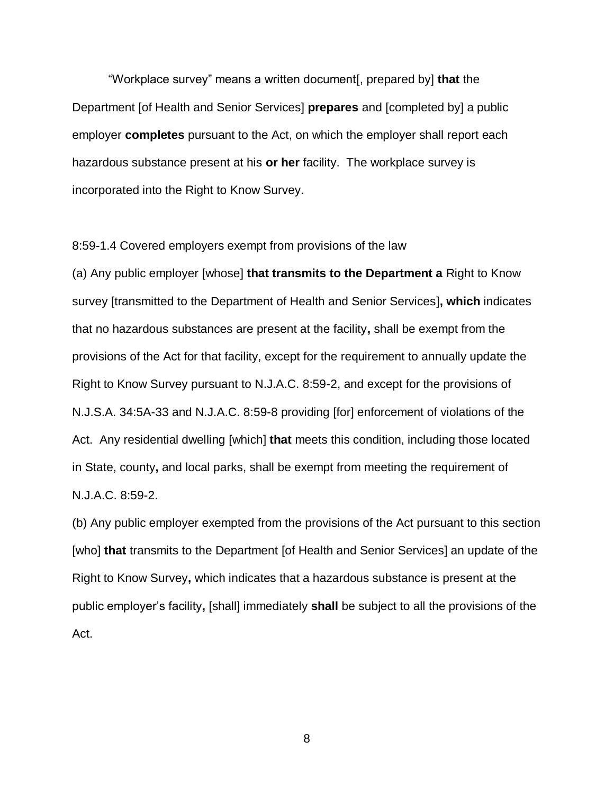"Workplace survey" means a written document[, prepared by] **that** the Department [of Health and Senior Services] **prepares** and [completed by] a public employer **completes** pursuant to the Act, on which the employer shall report each hazardous substance present at his **or her** facility. The workplace survey is incorporated into the Right to Know Survey.

8:59-1.4 Covered employers exempt from provisions of the law

(a) Any public employer [whose] **that transmits to the Department a** Right to Know survey [transmitted to the Department of Health and Senior Services]**, which** indicates that no hazardous substances are present at the facility**,** shall be exempt from the provisions of the Act for that facility, except for the requirement to annually update the Right to Know Survey pursuant to N.J.A.C. 8:59-2, and except for the provisions of N.J.S.A. 34:5A-33 and N.J.A.C. 8:59-8 providing [for] enforcement of violations of the Act. Any residential dwelling [which] **that** meets this condition, including those located in State, county**,** and local parks, shall be exempt from meeting the requirement of N.J.A.C. 8:59-2.

(b) Any public employer exempted from the provisions of the Act pursuant to this section [who] **that** transmits to the Department [of Health and Senior Services] an update of the Right to Know Survey**,** which indicates that a hazardous substance is present at the public employer's facility**,** [shall] immediately **shall** be subject to all the provisions of the Act.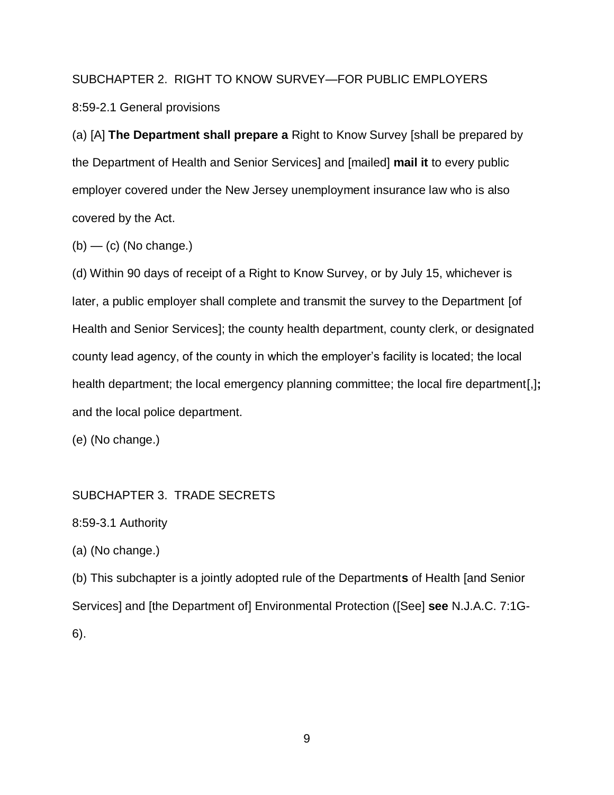## SUBCHAPTER 2. RIGHT TO KNOW SURVEY—FOR PUBLIC EMPLOYERS

8:59-2.1 General provisions

(a) [A] **The Department shall prepare a** Right to Know Survey [shall be prepared by the Department of Health and Senior Services] and [mailed] **mail it** to every public employer covered under the New Jersey unemployment insurance law who is also covered by the Act.

 $(b)$  — (c) (No change.)

(d) Within 90 days of receipt of a Right to Know Survey, or by July 15, whichever is later, a public employer shall complete and transmit the survey to the Department [of Health and Senior Services]; the county health department, county clerk, or designated county lead agency, of the county in which the employer's facility is located; the local health department; the local emergency planning committee; the local fire department[,]**;** and the local police department.

(e) (No change.)

SUBCHAPTER 3. TRADE SECRETS

8:59-3.1 Authority

(a) (No change.)

(b) This subchapter is a jointly adopted rule of the Department**s** of Health [and Senior Services] and [the Department of] Environmental Protection ([See] **see** N.J.A.C. 7:1G-6).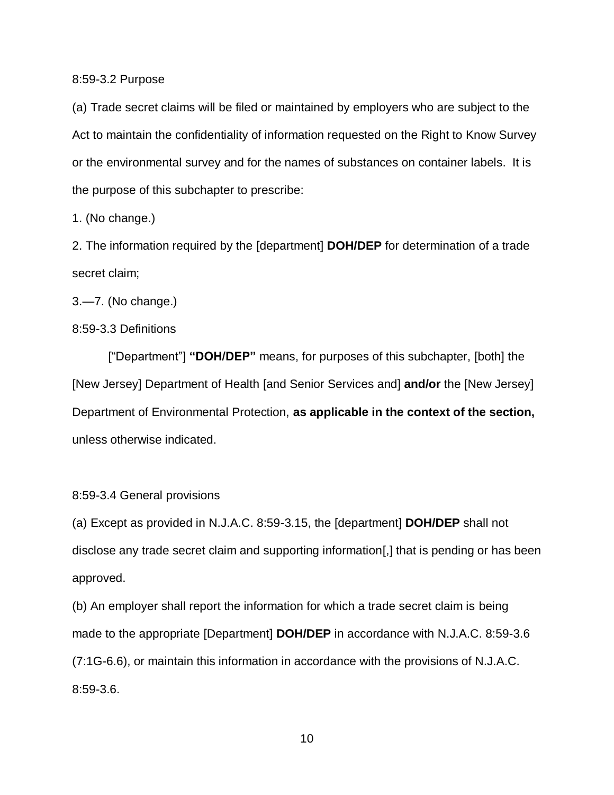8:59-3.2 Purpose

(a) Trade secret claims will be filed or maintained by employers who are subject to the Act to maintain the confidentiality of information requested on the Right to Know Survey or the environmental survey and for the names of substances on container labels. It is the purpose of this subchapter to prescribe:

1. (No change.)

2. The information required by the [department] **DOH/DEP** for determination of a trade secret claim;

3.—7. (No change.)

8:59-3.3 Definitions

["Department"] **"DOH/DEP"** means, for purposes of this subchapter, [both] the [New Jersey] Department of Health [and Senior Services and] **and/or** the [New Jersey] Department of Environmental Protection, **as applicable in the context of the section,**  unless otherwise indicated.

8:59-3.4 General provisions

(a) Except as provided in N.J.A.C. 8:59-3.15, the [department] **DOH/DEP** shall not disclose any trade secret claim and supporting information[,] that is pending or has been approved.

(b) An employer shall report the information for which a trade secret claim is being made to the appropriate [Department] **DOH/DEP** in accordance with N.J.A.C. 8:59-3.6 (7:1G-6.6), or maintain this information in accordance with the provisions of N.J.A.C. 8:59-3.6.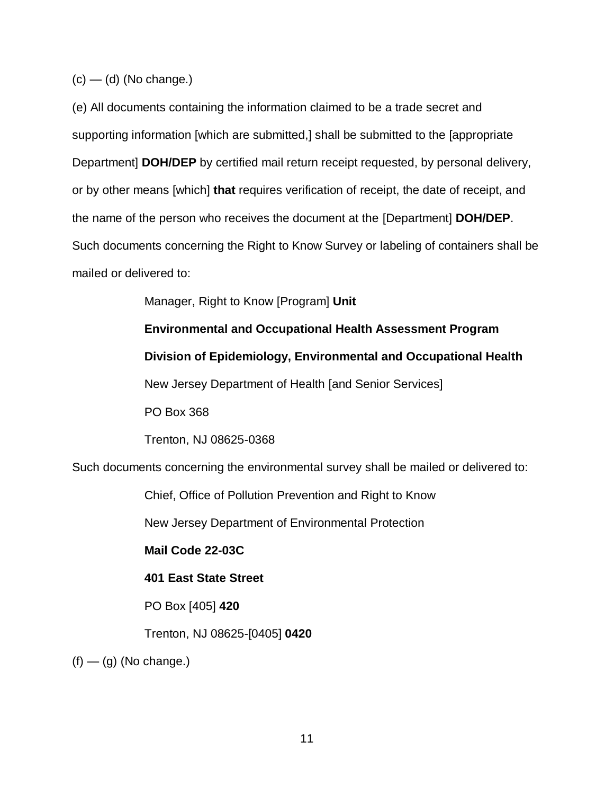$(c)$  — (d) (No change.)

(e) All documents containing the information claimed to be a trade secret and supporting information [which are submitted,] shall be submitted to the [appropriate Department] **DOH/DEP** by certified mail return receipt requested, by personal delivery, or by other means [which] **that** requires verification of receipt, the date of receipt, and the name of the person who receives the document at the [Department] **DOH/DEP**. Such documents concerning the Right to Know Survey or labeling of containers shall be mailed or delivered to:

Manager, Right to Know [Program] **Unit**

**Environmental and Occupational Health Assessment Program Division of Epidemiology, Environmental and Occupational Health** New Jersey Department of Health [and Senior Services] PO Box 368 Trenton, NJ 08625-0368

Such documents concerning the environmental survey shall be mailed or delivered to:

Chief, Office of Pollution Prevention and Right to Know

New Jersey Department of Environmental Protection

**Mail Code 22-03C**

## **401 East State Street**

PO Box [405] **420**

Trenton, NJ 08625-[0405] **0420**

 $(f)$  — (g) (No change.)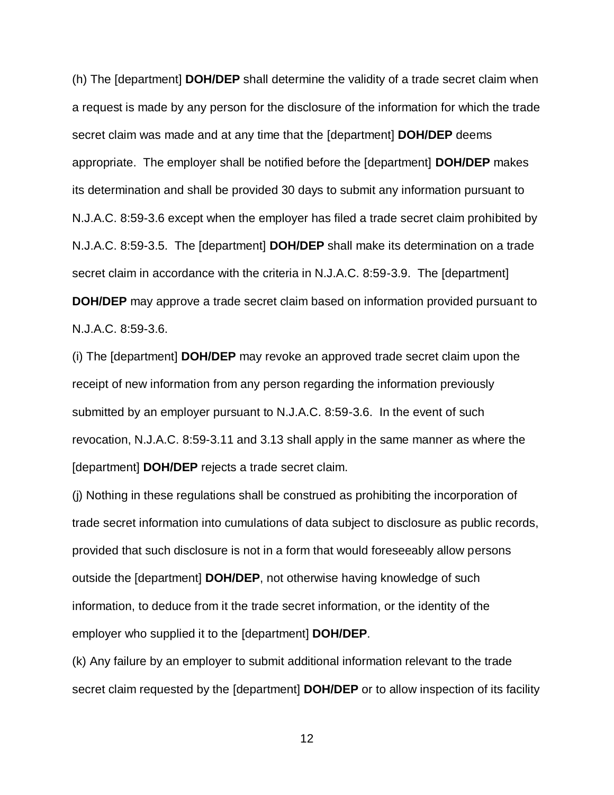(h) The [department] **DOH/DEP** shall determine the validity of a trade secret claim when a request is made by any person for the disclosure of the information for which the trade secret claim was made and at any time that the [department] **DOH/DEP** deems appropriate. The employer shall be notified before the [department] **DOH/DEP** makes its determination and shall be provided 30 days to submit any information pursuant to N.J.A.C. 8:59-3.6 except when the employer has filed a trade secret claim prohibited by N.J.A.C. 8:59-3.5. The [department] **DOH/DEP** shall make its determination on a trade secret claim in accordance with the criteria in N.J.A.C. 8:59-3.9. The [department] **DOH/DEP** may approve a trade secret claim based on information provided pursuant to N.J.A.C. 8:59-3.6.

(i) The [department] **DOH/DEP** may revoke an approved trade secret claim upon the receipt of new information from any person regarding the information previously submitted by an employer pursuant to N.J.A.C. 8:59-3.6. In the event of such revocation, N.J.A.C. 8:59-3.11 and 3.13 shall apply in the same manner as where the [department] **DOH/DEP** rejects a trade secret claim.

(j) Nothing in these regulations shall be construed as prohibiting the incorporation of trade secret information into cumulations of data subject to disclosure as public records, provided that such disclosure is not in a form that would foreseeably allow persons outside the [department] **DOH/DEP**, not otherwise having knowledge of such information, to deduce from it the trade secret information, or the identity of the employer who supplied it to the [department] **DOH/DEP**.

(k) Any failure by an employer to submit additional information relevant to the trade secret claim requested by the [department] **DOH/DEP** or to allow inspection of its facility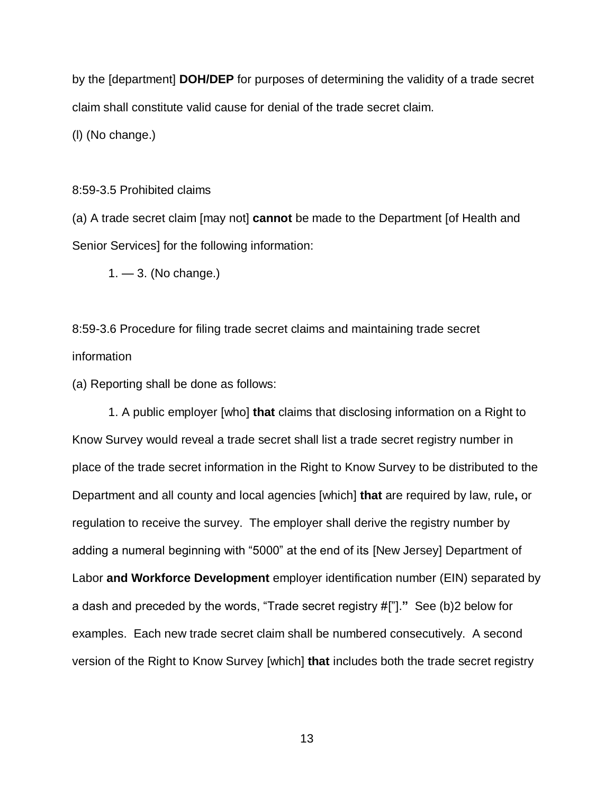by the [department] **DOH/DEP** for purposes of determining the validity of a trade secret claim shall constitute valid cause for denial of the trade secret claim.

(l) (No change.)

## 8:59-3.5 Prohibited claims

(a) A trade secret claim [may not] **cannot** be made to the Department [of Health and Senior Services] for the following information:

1. — 3. (No change.)

8:59-3.6 Procedure for filing trade secret claims and maintaining trade secret information

(a) Reporting shall be done as follows:

1. A public employer [who] **that** claims that disclosing information on a Right to Know Survey would reveal a trade secret shall list a trade secret registry number in place of the trade secret information in the Right to Know Survey to be distributed to the Department and all county and local agencies [which] **that** are required by law, rule**,** or regulation to receive the survey. The employer shall derive the registry number by adding a numeral beginning with "5000" at the end of its [New Jersey] Department of Labor **and Workforce Development** employer identification number (EIN) separated by a dash and preceded by the words, "Trade secret registry #["].**"** See (b)2 below for examples. Each new trade secret claim shall be numbered consecutively. A second version of the Right to Know Survey [which] **that** includes both the trade secret registry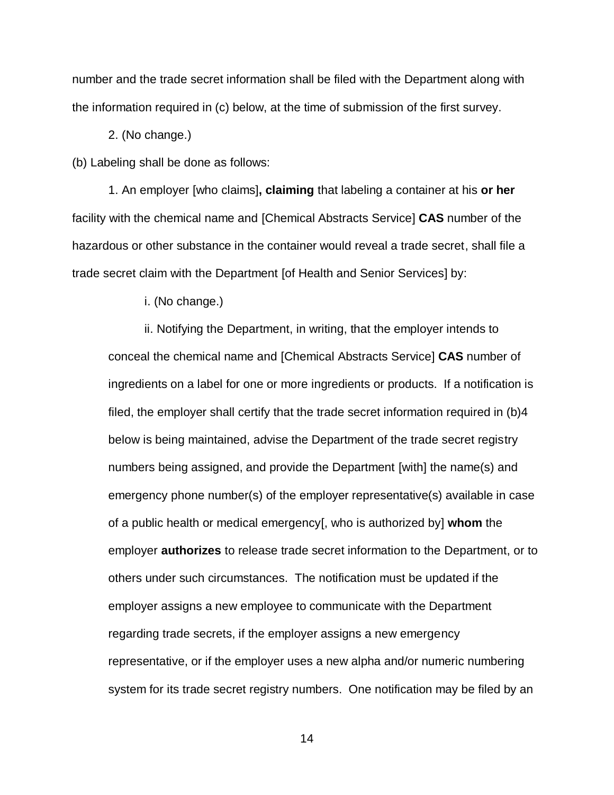number and the trade secret information shall be filed with the Department along with the information required in (c) below, at the time of submission of the first survey.

2. (No change.)

(b) Labeling shall be done as follows:

1. An employer [who claims]**, claiming** that labeling a container at his **or her** facility with the chemical name and [Chemical Abstracts Service] **CAS** number of the hazardous or other substance in the container would reveal a trade secret, shall file a trade secret claim with the Department [of Health and Senior Services] by:

i. (No change.)

ii. Notifying the Department, in writing, that the employer intends to conceal the chemical name and [Chemical Abstracts Service] **CAS** number of ingredients on a label for one or more ingredients or products. If a notification is filed, the employer shall certify that the trade secret information required in (b)4 below is being maintained, advise the Department of the trade secret registry numbers being assigned, and provide the Department [with] the name(s) and emergency phone number(s) of the employer representative(s) available in case of a public health or medical emergency[, who is authorized by] **whom** the employer **authorizes** to release trade secret information to the Department, or to others under such circumstances. The notification must be updated if the employer assigns a new employee to communicate with the Department regarding trade secrets, if the employer assigns a new emergency representative, or if the employer uses a new alpha and/or numeric numbering system for its trade secret registry numbers. One notification may be filed by an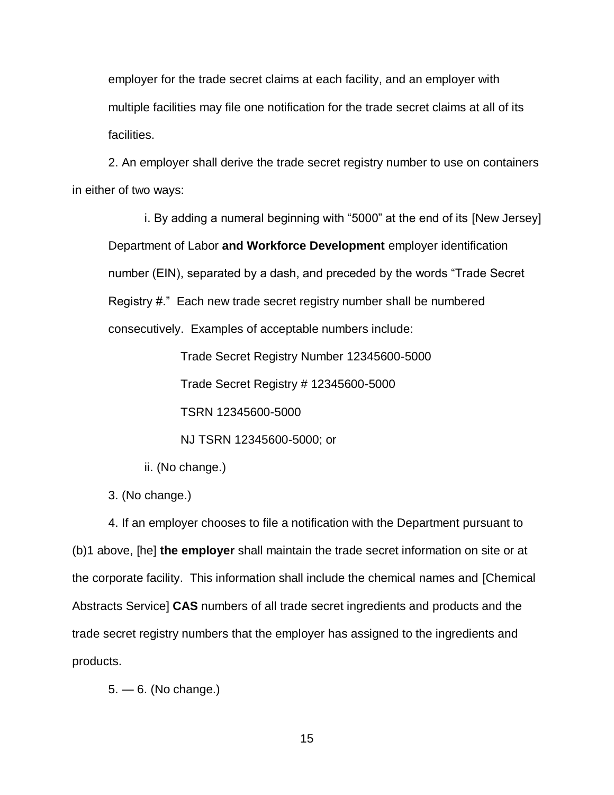employer for the trade secret claims at each facility, and an employer with multiple facilities may file one notification for the trade secret claims at all of its facilities.

2. An employer shall derive the trade secret registry number to use on containers in either of two ways:

i. By adding a numeral beginning with "5000" at the end of its [New Jersey] Department of Labor **and Workforce Development** employer identification number (EIN), separated by a dash, and preceded by the words "Trade Secret Registry #." Each new trade secret registry number shall be numbered consecutively. Examples of acceptable numbers include:

Trade Secret Registry Number 12345600-5000

Trade Secret Registry # 12345600-5000

TSRN 12345600-5000

NJ TSRN 12345600-5000; or

- ii. (No change.)
- 3. (No change.)

4. If an employer chooses to file a notification with the Department pursuant to (b)1 above, [he] **the employer** shall maintain the trade secret information on site or at the corporate facility. This information shall include the chemical names and [Chemical Abstracts Service] **CAS** numbers of all trade secret ingredients and products and the trade secret registry numbers that the employer has assigned to the ingredients and products.

5. — 6. (No change.)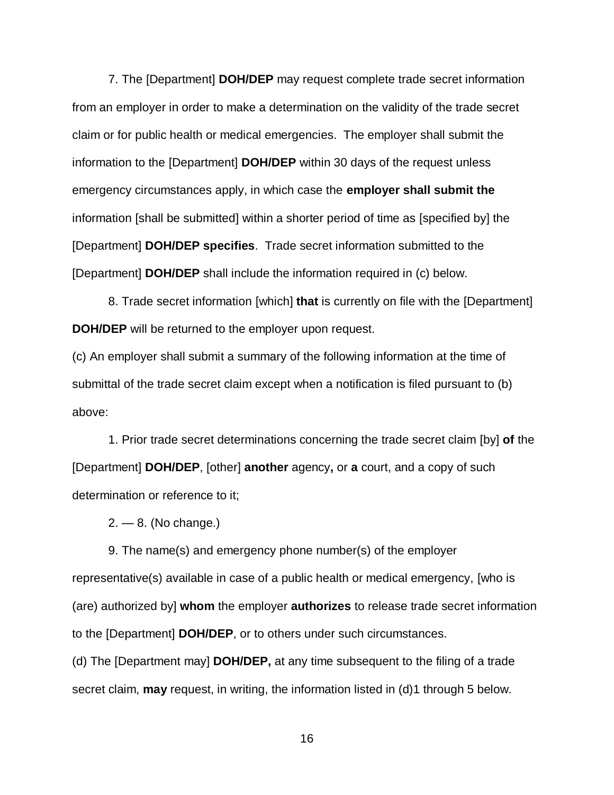7. The [Department] **DOH/DEP** may request complete trade secret information from an employer in order to make a determination on the validity of the trade secret claim or for public health or medical emergencies. The employer shall submit the information to the [Department] **DOH/DEP** within 30 days of the request unless emergency circumstances apply, in which case the **employer shall submit the** information [shall be submitted] within a shorter period of time as [specified by] the [Department] **DOH/DEP specifies**. Trade secret information submitted to the [Department] **DOH/DEP** shall include the information required in (c) below.

8. Trade secret information [which] **that** is currently on file with the [Department] **DOH/DEP** will be returned to the employer upon request.

(c) An employer shall submit a summary of the following information at the time of submittal of the trade secret claim except when a notification is filed pursuant to (b) above:

1. Prior trade secret determinations concerning the trade secret claim [by] **of** the [Department] **DOH/DEP**, [other] **another** agency**,** or **a** court, and a copy of such determination or reference to it;

 $2. - 8.$  (No change.)

9. The name(s) and emergency phone number(s) of the employer representative(s) available in case of a public health or medical emergency, [who is (are) authorized by] **whom** the employer **authorizes** to release trade secret information to the [Department] **DOH/DEP**, or to others under such circumstances.

(d) The [Department may] **DOH/DEP,** at any time subsequent to the filing of a trade secret claim, **may** request, in writing, the information listed in (d)1 through 5 below.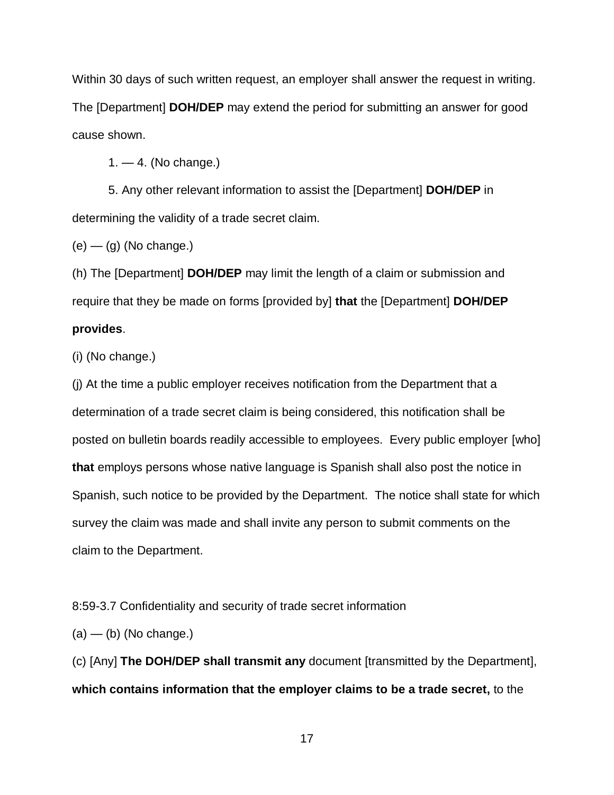Within 30 days of such written request, an employer shall answer the request in writing. The [Department] **DOH/DEP** may extend the period for submitting an answer for good cause shown.

 $1. - 4.$  (No change.)

5. Any other relevant information to assist the [Department] **DOH/DEP** in determining the validity of a trade secret claim.

 $(e)$  —  $(q)$  (No change.)

(h) The [Department] **DOH/DEP** may limit the length of a claim or submission and require that they be made on forms [provided by] **that** the [Department] **DOH/DEP provides**.

(i) (No change.)

(j) At the time a public employer receives notification from the Department that a determination of a trade secret claim is being considered, this notification shall be posted on bulletin boards readily accessible to employees. Every public employer [who] **that** employs persons whose native language is Spanish shall also post the notice in Spanish, such notice to be provided by the Department. The notice shall state for which survey the claim was made and shall invite any person to submit comments on the claim to the Department.

8:59-3.7 Confidentiality and security of trade secret information

 $(a)$  — (b) (No change.)

(c) [Any] **The DOH/DEP shall transmit any** document [transmitted by the Department], **which contains information that the employer claims to be a trade secret,** to the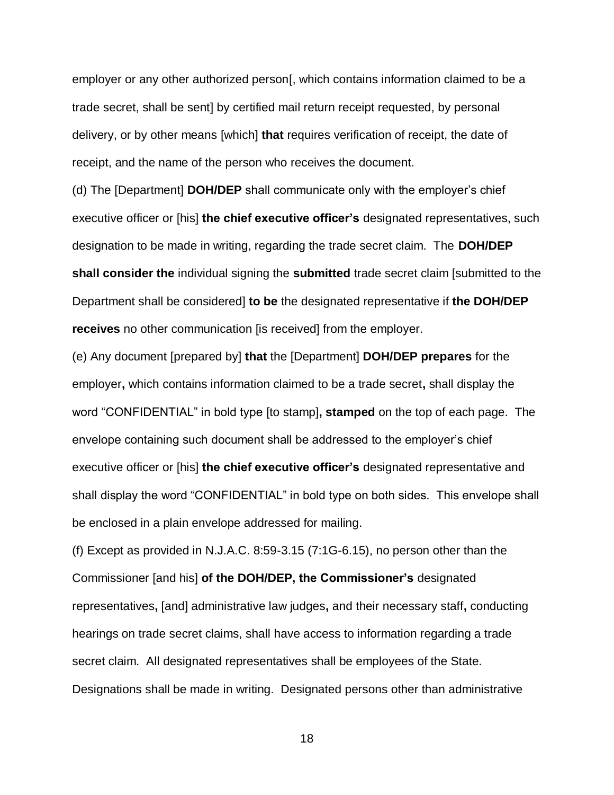employer or any other authorized person[, which contains information claimed to be a trade secret, shall be sent] by certified mail return receipt requested, by personal delivery, or by other means [which] **that** requires verification of receipt, the date of receipt, and the name of the person who receives the document.

(d) The [Department] **DOH/DEP** shall communicate only with the employer's chief executive officer or [his] **the chief executive officer's** designated representatives, such designation to be made in writing, regarding the trade secret claim. The **DOH/DEP shall consider the** individual signing the **submitted** trade secret claim [submitted to the Department shall be considered] **to be** the designated representative if **the DOH/DEP receives** no other communication [is received] from the employer.

(e) Any document [prepared by] **that** the [Department] **DOH/DEP prepares** for the employer**,** which contains information claimed to be a trade secret**,** shall display the word "CONFIDENTIAL" in bold type [to stamp]**, stamped** on the top of each page. The envelope containing such document shall be addressed to the employer's chief executive officer or [his] **the chief executive officer's** designated representative and shall display the word "CONFIDENTIAL" in bold type on both sides. This envelope shall be enclosed in a plain envelope addressed for mailing.

(f) Except as provided in N.J.A.C. 8:59-3.15 (7:1G-6.15), no person other than the Commissioner [and his] **of the DOH/DEP, the Commissioner's** designated representatives**,** [and] administrative law judges**,** and their necessary staff**,** conducting hearings on trade secret claims, shall have access to information regarding a trade secret claim. All designated representatives shall be employees of the State. Designations shall be made in writing. Designated persons other than administrative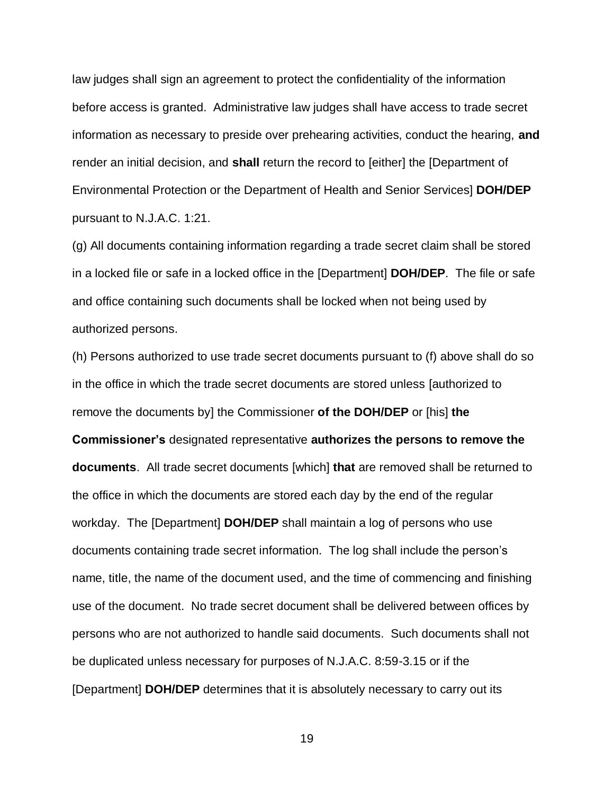law judges shall sign an agreement to protect the confidentiality of the information before access is granted. Administrative law judges shall have access to trade secret information as necessary to preside over prehearing activities, conduct the hearing, **and**  render an initial decision, and **shall** return the record to [either] the [Department of Environmental Protection or the Department of Health and Senior Services] **DOH/DEP** pursuant to N.J.A.C. 1:21.

(g) All documents containing information regarding a trade secret claim shall be stored in a locked file or safe in a locked office in the [Department] **DOH/DEP**. The file or safe and office containing such documents shall be locked when not being used by authorized persons.

(h) Persons authorized to use trade secret documents pursuant to (f) above shall do so in the office in which the trade secret documents are stored unless [authorized to remove the documents by] the Commissioner **of the DOH/DEP** or [his] **the Commissioner's** designated representative **authorizes the persons to remove the documents**. All trade secret documents [which] **that** are removed shall be returned to the office in which the documents are stored each day by the end of the regular workday. The [Department] **DOH/DEP** shall maintain a log of persons who use documents containing trade secret information. The log shall include the person's name, title, the name of the document used, and the time of commencing and finishing use of the document. No trade secret document shall be delivered between offices by persons who are not authorized to handle said documents. Such documents shall not be duplicated unless necessary for purposes of N.J.A.C. 8:59-3.15 or if the [Department] **DOH/DEP** determines that it is absolutely necessary to carry out its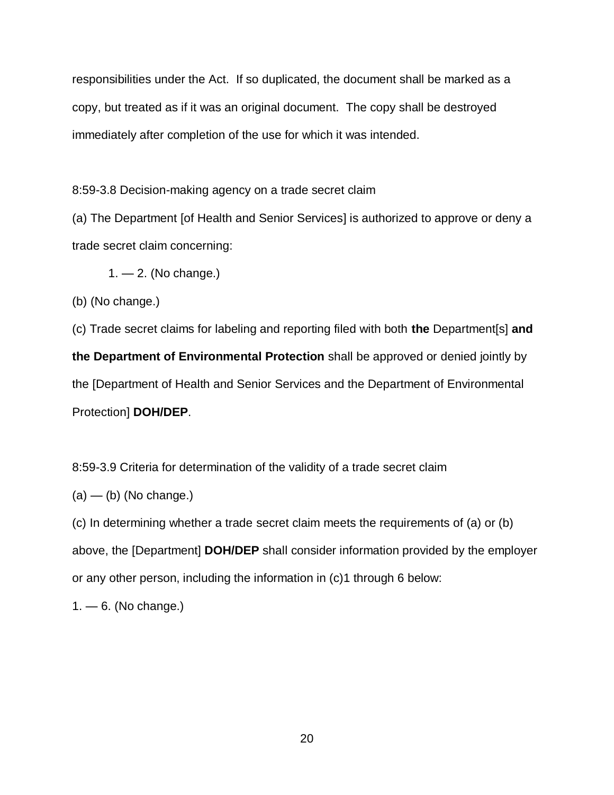responsibilities under the Act. If so duplicated, the document shall be marked as a copy, but treated as if it was an original document. The copy shall be destroyed immediately after completion of the use for which it was intended.

8:59-3.8 Decision-making agency on a trade secret claim

(a) The Department [of Health and Senior Services] is authorized to approve or deny a trade secret claim concerning:

 $1. - 2.$  (No change.)

(b) (No change.)

(c) Trade secret claims for labeling and reporting filed with both **the** Department[s] **and the Department of Environmental Protection** shall be approved or denied jointly by the [Department of Health and Senior Services and the Department of Environmental Protection] **DOH/DEP**.

8:59-3.9 Criteria for determination of the validity of a trade secret claim

 $(a)$  — (b) (No change.)

(c) In determining whether a trade secret claim meets the requirements of (a) or (b) above, the [Department] **DOH/DEP** shall consider information provided by the employer or any other person, including the information in (c)1 through 6 below:

 $1 - 6$ . (No change.)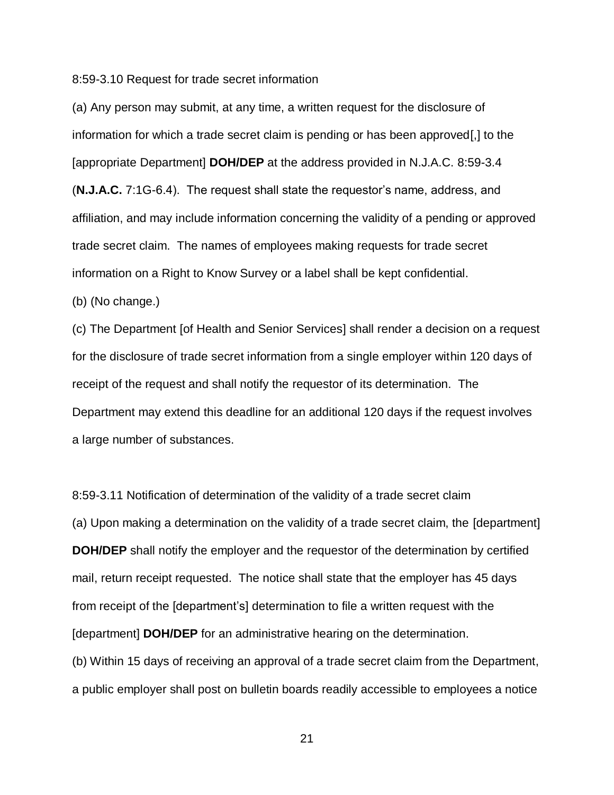8:59-3.10 Request for trade secret information

(a) Any person may submit, at any time, a written request for the disclosure of information for which a trade secret claim is pending or has been approved[,] to the [appropriate Department] **DOH/DEP** at the address provided in N.J.A.C. 8:59-3.4 (**N.J.A.C.** 7:1G-6.4). The request shall state the requestor's name, address, and affiliation, and may include information concerning the validity of a pending or approved trade secret claim. The names of employees making requests for trade secret information on a Right to Know Survey or a label shall be kept confidential.

(b) (No change.)

(c) The Department [of Health and Senior Services] shall render a decision on a request for the disclosure of trade secret information from a single employer within 120 days of receipt of the request and shall notify the requestor of its determination. The Department may extend this deadline for an additional 120 days if the request involves a large number of substances.

8:59-3.11 Notification of determination of the validity of a trade secret claim (a) Upon making a determination on the validity of a trade secret claim, the [department] **DOH/DEP** shall notify the employer and the requestor of the determination by certified mail, return receipt requested. The notice shall state that the employer has 45 days from receipt of the [department's] determination to file a written request with the [department] **DOH/DEP** for an administrative hearing on the determination. (b) Within 15 days of receiving an approval of a trade secret claim from the Department, a public employer shall post on bulletin boards readily accessible to employees a notice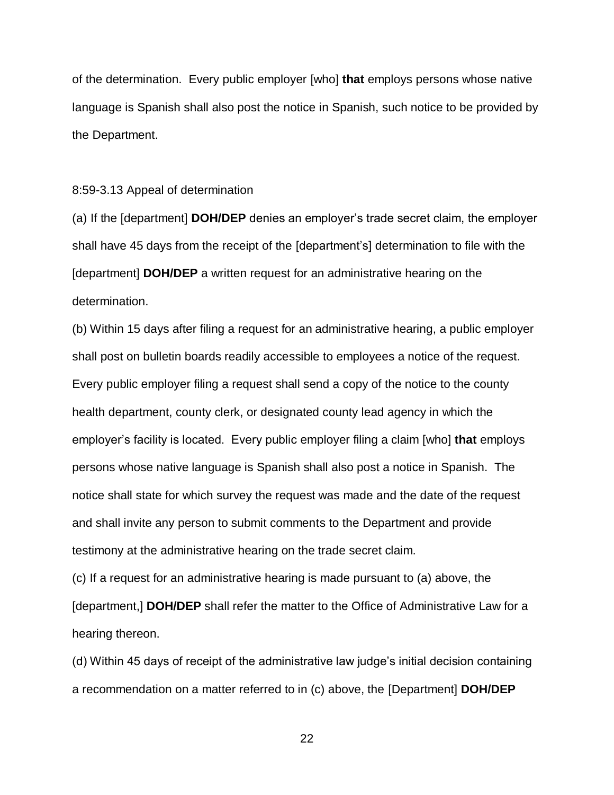of the determination. Every public employer [who] **that** employs persons whose native language is Spanish shall also post the notice in Spanish, such notice to be provided by the Department.

#### 8:59-3.13 Appeal of determination

(a) If the [department] **DOH/DEP** denies an employer's trade secret claim, the employer shall have 45 days from the receipt of the [department's] determination to file with the [department] **DOH/DEP** a written request for an administrative hearing on the determination.

(b) Within 15 days after filing a request for an administrative hearing, a public employer shall post on bulletin boards readily accessible to employees a notice of the request. Every public employer filing a request shall send a copy of the notice to the county health department, county clerk, or designated county lead agency in which the employer's facility is located. Every public employer filing a claim [who] **that** employs persons whose native language is Spanish shall also post a notice in Spanish. The notice shall state for which survey the request was made and the date of the request and shall invite any person to submit comments to the Department and provide testimony at the administrative hearing on the trade secret claim.

(c) If a request for an administrative hearing is made pursuant to (a) above, the [department,] **DOH/DEP** shall refer the matter to the Office of Administrative Law for a hearing thereon.

(d) Within 45 days of receipt of the administrative law judge's initial decision containing a recommendation on a matter referred to in (c) above, the [Department] **DOH/DEP**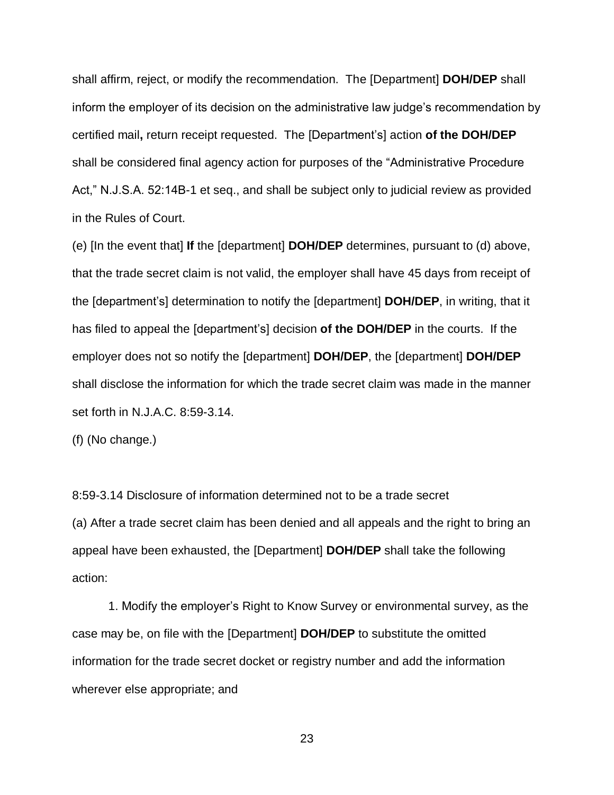shall affirm, reject, or modify the recommendation. The [Department] **DOH/DEP** shall inform the employer of its decision on the administrative law judge's recommendation by certified mail**,** return receipt requested. The [Department's] action **of the DOH/DEP** shall be considered final agency action for purposes of the "Administrative Procedure Act," N.J.S.A. 52:14B-1 et seq., and shall be subject only to judicial review as provided in the Rules of Court.

(e) [In the event that] **If** the [department] **DOH/DEP** determines, pursuant to (d) above, that the trade secret claim is not valid, the employer shall have 45 days from receipt of the [department's] determination to notify the [department] **DOH/DEP**, in writing, that it has filed to appeal the [department's] decision **of the DOH/DEP** in the courts. If the employer does not so notify the [department] **DOH/DEP**, the [department] **DOH/DEP** shall disclose the information for which the trade secret claim was made in the manner set forth in N.J.A.C. 8:59-3.14.

(f) (No change.)

8:59-3.14 Disclosure of information determined not to be a trade secret (a) After a trade secret claim has been denied and all appeals and the right to bring an appeal have been exhausted, the [Department] **DOH/DEP** shall take the following action:

1. Modify the employer's Right to Know Survey or environmental survey, as the case may be, on file with the [Department] **DOH/DEP** to substitute the omitted information for the trade secret docket or registry number and add the information wherever else appropriate; and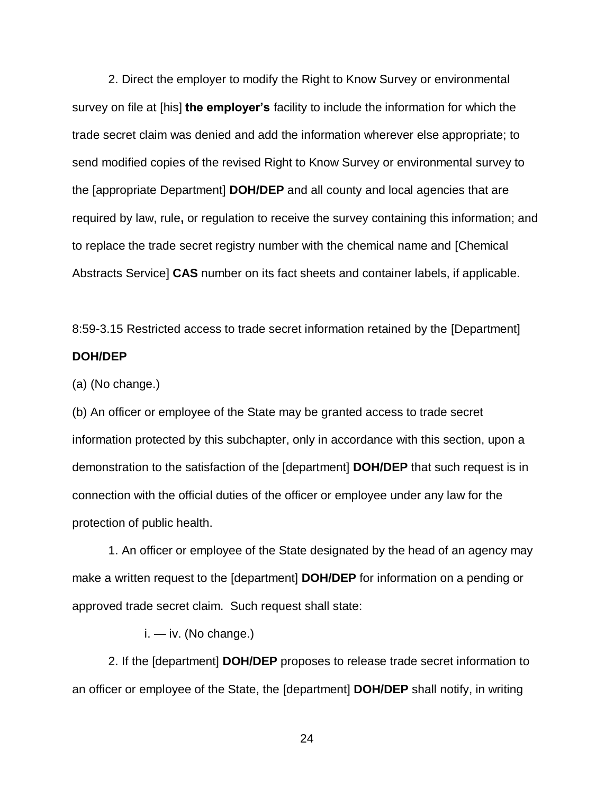2. Direct the employer to modify the Right to Know Survey or environmental survey on file at [his] **the employer's** facility to include the information for which the trade secret claim was denied and add the information wherever else appropriate; to send modified copies of the revised Right to Know Survey or environmental survey to the [appropriate Department] **DOH/DEP** and all county and local agencies that are required by law, rule**,** or regulation to receive the survey containing this information; and to replace the trade secret registry number with the chemical name and [Chemical Abstracts Service] **CAS** number on its fact sheets and container labels, if applicable.

8:59-3.15 Restricted access to trade secret information retained by the [Department] **DOH/DEP**

(a) (No change.)

(b) An officer or employee of the State may be granted access to trade secret information protected by this subchapter, only in accordance with this section, upon a demonstration to the satisfaction of the [department] **DOH/DEP** that such request is in connection with the official duties of the officer or employee under any law for the protection of public health.

1. An officer or employee of the State designated by the head of an agency may make a written request to the [department] **DOH/DEP** for information on a pending or approved trade secret claim. Such request shall state:

i. — iv. (No change.)

2. If the [department] **DOH/DEP** proposes to release trade secret information to an officer or employee of the State, the [department] **DOH/DEP** shall notify, in writing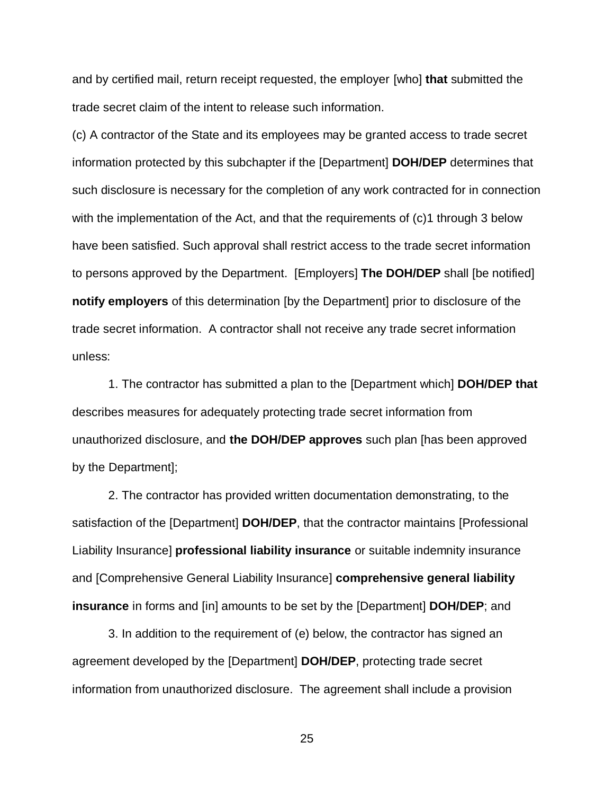and by certified mail, return receipt requested, the employer [who] **that** submitted the trade secret claim of the intent to release such information.

(c) A contractor of the State and its employees may be granted access to trade secret information protected by this subchapter if the [Department] **DOH/DEP** determines that such disclosure is necessary for the completion of any work contracted for in connection with the implementation of the Act, and that the requirements of (c)1 through 3 below have been satisfied. Such approval shall restrict access to the trade secret information to persons approved by the Department. [Employers] **The DOH/DEP** shall [be notified] **notify employers** of this determination [by the Department] prior to disclosure of the trade secret information. A contractor shall not receive any trade secret information unless:

1. The contractor has submitted a plan to the [Department which] **DOH/DEP that** describes measures for adequately protecting trade secret information from unauthorized disclosure, and **the DOH/DEP approves** such plan [has been approved by the Department];

2. The contractor has provided written documentation demonstrating, to the satisfaction of the [Department] **DOH/DEP**, that the contractor maintains [Professional Liability Insurance] **professional liability insurance** or suitable indemnity insurance and [Comprehensive General Liability Insurance] **comprehensive general liability insurance** in forms and [in] amounts to be set by the [Department] **DOH/DEP**; and

3. In addition to the requirement of (e) below, the contractor has signed an agreement developed by the [Department] **DOH/DEP**, protecting trade secret information from unauthorized disclosure. The agreement shall include a provision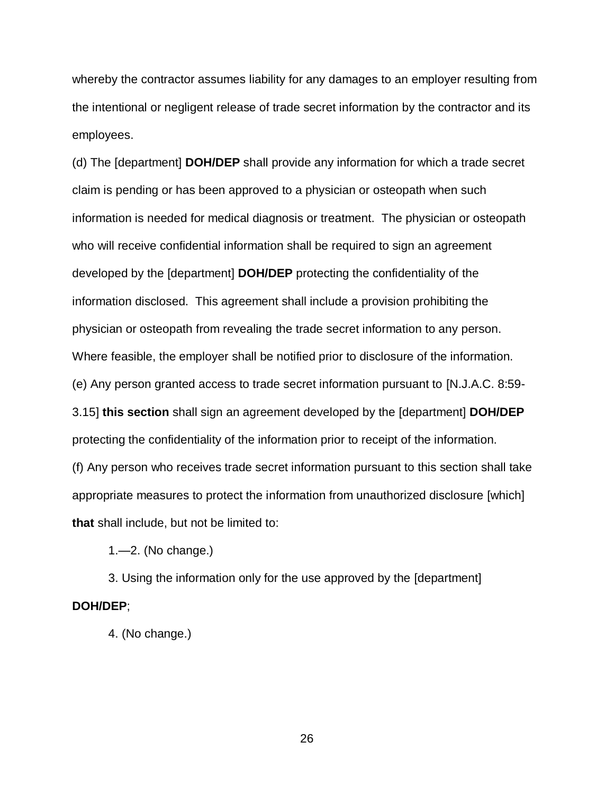whereby the contractor assumes liability for any damages to an employer resulting from the intentional or negligent release of trade secret information by the contractor and its employees.

(d) The [department] **DOH/DEP** shall provide any information for which a trade secret claim is pending or has been approved to a physician or osteopath when such information is needed for medical diagnosis or treatment. The physician or osteopath who will receive confidential information shall be required to sign an agreement developed by the [department] **DOH/DEP** protecting the confidentiality of the information disclosed. This agreement shall include a provision prohibiting the physician or osteopath from revealing the trade secret information to any person. Where feasible, the employer shall be notified prior to disclosure of the information. (e) Any person granted access to trade secret information pursuant to [N.J.A.C. 8:59- 3.15] **this section** shall sign an agreement developed by the [department] **DOH/DEP** protecting the confidentiality of the information prior to receipt of the information. (f) Any person who receives trade secret information pursuant to this section shall take appropriate measures to protect the information from unauthorized disclosure [which] **that** shall include, but not be limited to:

1.—2. (No change.)

3. Using the information only for the use approved by the [department] **DOH/DEP**;

4. (No change.)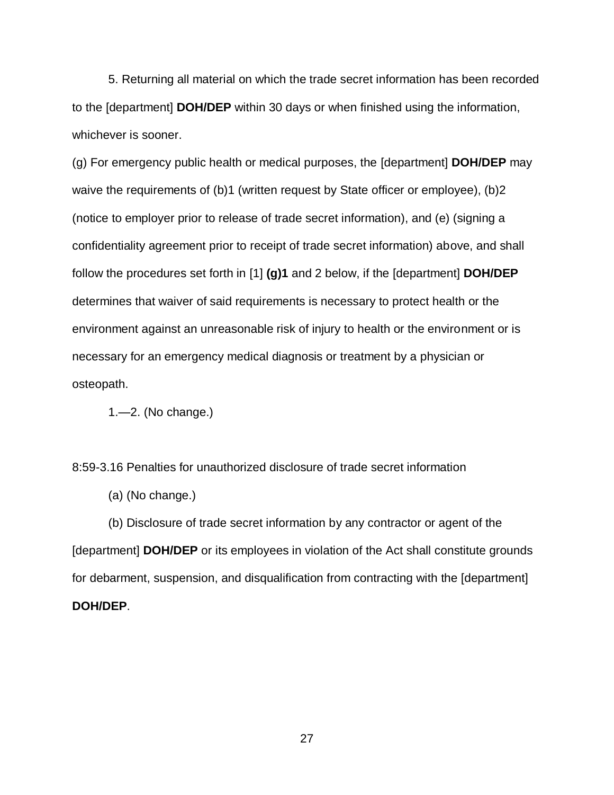5. Returning all material on which the trade secret information has been recorded to the [department] **DOH/DEP** within 30 days or when finished using the information, whichever is sooner.

(g) For emergency public health or medical purposes, the [department] **DOH/DEP** may waive the requirements of (b)1 (written request by State officer or employee), (b)2 (notice to employer prior to release of trade secret information), and (e) (signing a confidentiality agreement prior to receipt of trade secret information) above, and shall follow the procedures set forth in [1] **(g)1** and 2 below, if the [department] **DOH/DEP** determines that waiver of said requirements is necessary to protect health or the environment against an unreasonable risk of injury to health or the environment or is necessary for an emergency medical diagnosis or treatment by a physician or osteopath.

1.—2. (No change.)

8:59-3.16 Penalties for unauthorized disclosure of trade secret information

(a) (No change.)

(b) Disclosure of trade secret information by any contractor or agent of the [department] **DOH/DEP** or its employees in violation of the Act shall constitute grounds for debarment, suspension, and disqualification from contracting with the [department] **DOH/DEP**.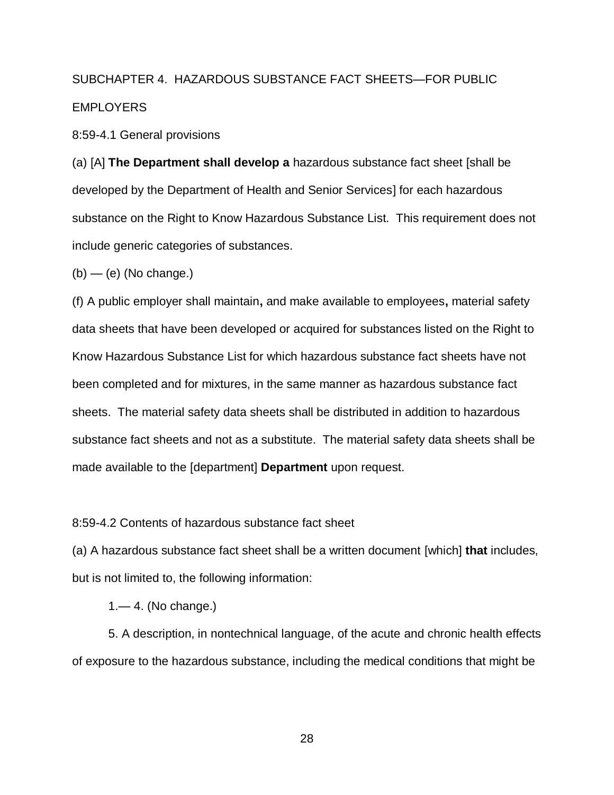## SUBCHAPTER 4. HAZARDOUS SUBSTANCE FACT SHEETS—FOR PUBLIC **EMPLOYERS**

8:59-4.1 General provisions

(a) [A] **The Department shall develop a** hazardous substance fact sheet [shall be developed by the Department of Health and Senior Services] for each hazardous substance on the Right to Know Hazardous Substance List. This requirement does not include generic categories of substances.

 $(b)$  — (e) (No change.)

(f) A public employer shall maintain**,** and make available to employees**,** material safety data sheets that have been developed or acquired for substances listed on the Right to Know Hazardous Substance List for which hazardous substance fact sheets have not been completed and for mixtures, in the same manner as hazardous substance fact sheets. The material safety data sheets shall be distributed in addition to hazardous substance fact sheets and not as a substitute. The material safety data sheets shall be made available to the [department] **Department** upon request.

#### 8:59-4.2 Contents of hazardous substance fact sheet

(a) A hazardous substance fact sheet shall be a written document [which] **that** includes, but is not limited to, the following information:

1.— 4. (No change.)

5. A description, in nontechnical language, of the acute and chronic health effects of exposure to the hazardous substance, including the medical conditions that might be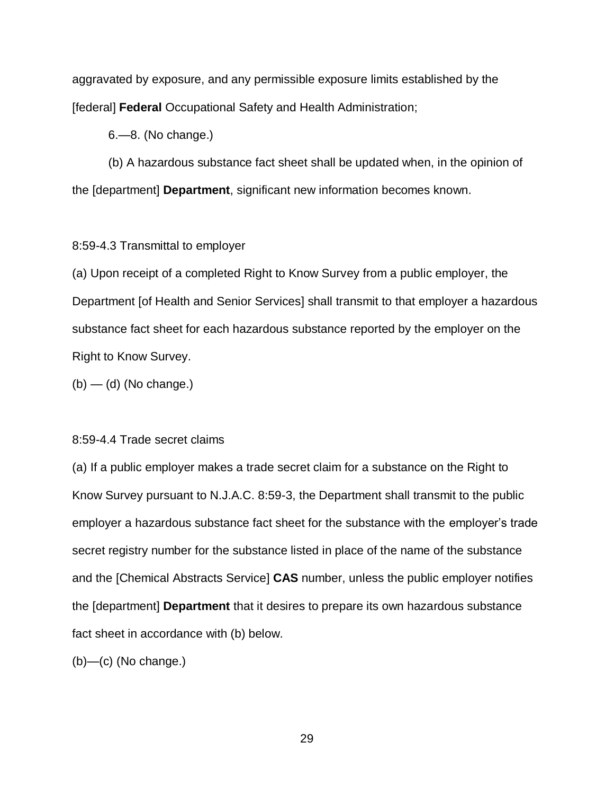aggravated by exposure, and any permissible exposure limits established by the [federal] **Federal** Occupational Safety and Health Administration;

6.—8. (No change.)

(b) A hazardous substance fact sheet shall be updated when, in the opinion of the [department] **Department**, significant new information becomes known.

### 8:59-4.3 Transmittal to employer

(a) Upon receipt of a completed Right to Know Survey from a public employer, the Department [of Health and Senior Services] shall transmit to that employer a hazardous substance fact sheet for each hazardous substance reported by the employer on the Right to Know Survey.

 $(b)$  — (d) (No change.)

#### 8:59-4.4 Trade secret claims

(a) If a public employer makes a trade secret claim for a substance on the Right to Know Survey pursuant to N.J.A.C. 8:59-3, the Department shall transmit to the public employer a hazardous substance fact sheet for the substance with the employer's trade secret registry number for the substance listed in place of the name of the substance and the [Chemical Abstracts Service] **CAS** number, unless the public employer notifies the [department] **Department** that it desires to prepare its own hazardous substance fact sheet in accordance with (b) below.

 $(b)$ —(c) (No change.)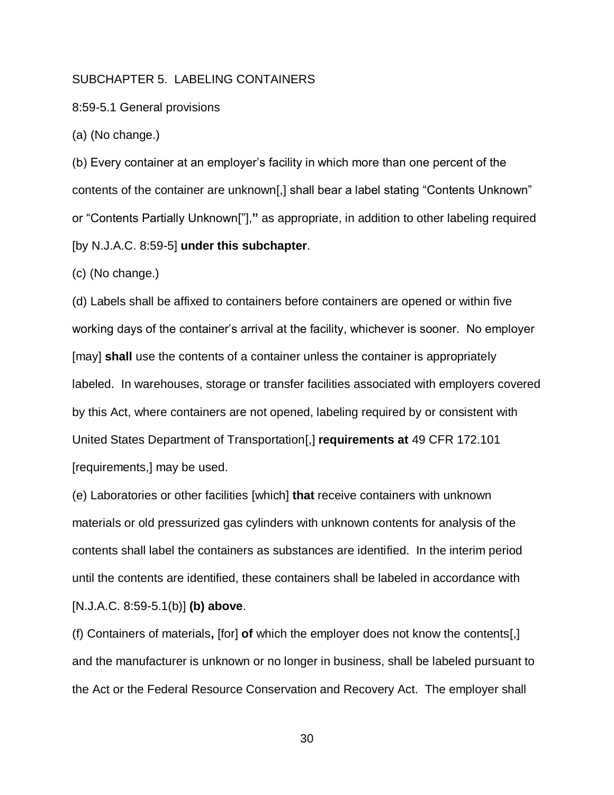## SUBCHAPTER 5. LABELING CONTAINERS

8:59-5.1 General provisions

(a) (No change.)

(b) Every container at an employer's facility in which more than one percent of the contents of the container are unknown[,] shall bear a label stating "Contents Unknown" or "Contents Partially Unknown["],**"** as appropriate, in addition to other labeling required [by N.J.A.C. 8:59-5] **under this subchapter**.

(c) (No change.)

(d) Labels shall be affixed to containers before containers are opened or within five working days of the container's arrival at the facility, whichever is sooner. No employer [may] **shall** use the contents of a container unless the container is appropriately labeled. In warehouses, storage or transfer facilities associated with employers covered by this Act, where containers are not opened, labeling required by or consistent with United States Department of Transportation[,] **requirements at** 49 CFR 172.101 [requirements,] may be used.

(e) Laboratories or other facilities [which] **that** receive containers with unknown materials or old pressurized gas cylinders with unknown contents for analysis of the contents shall label the containers as substances are identified. In the interim period until the contents are identified, these containers shall be labeled in accordance with [N.J.A.C. 8:59-5.1(b)] **(b) above**.

(f) Containers of materials**,** [for] **of** which the employer does not know the contents[,] and the manufacturer is unknown or no longer in business, shall be labeled pursuant to the Act or the Federal Resource Conservation and Recovery Act. The employer shall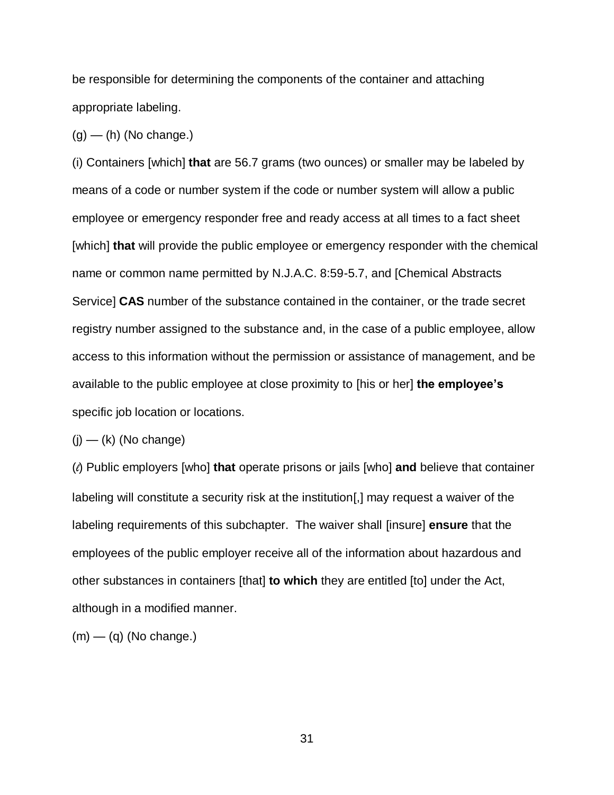be responsible for determining the components of the container and attaching appropriate labeling.

 $(g)$  — (h) (No change.)

(i) Containers [which] **that** are 56.7 grams (two ounces) or smaller may be labeled by means of a code or number system if the code or number system will allow a public employee or emergency responder free and ready access at all times to a fact sheet [which] **that** will provide the public employee or emergency responder with the chemical name or common name permitted by N.J.A.C. 8:59-5.7, and [Chemical Abstracts Service] **CAS** number of the substance contained in the container, or the trade secret registry number assigned to the substance and, in the case of a public employee, allow access to this information without the permission or assistance of management, and be available to the public employee at close proximity to [his or her] **the employee's** specific job location or locations.

 $(j)$  — (k) (No change)

(*l*) Public employers [who] **that** operate prisons or jails [who] **and** believe that container labeling will constitute a security risk at the institution[,] may request a waiver of the labeling requirements of this subchapter. The waiver shall [insure] **ensure** that the employees of the public employer receive all of the information about hazardous and other substances in containers [that] **to which** they are entitled [to] under the Act, although in a modified manner.

 $(m)$  — (q) (No change.)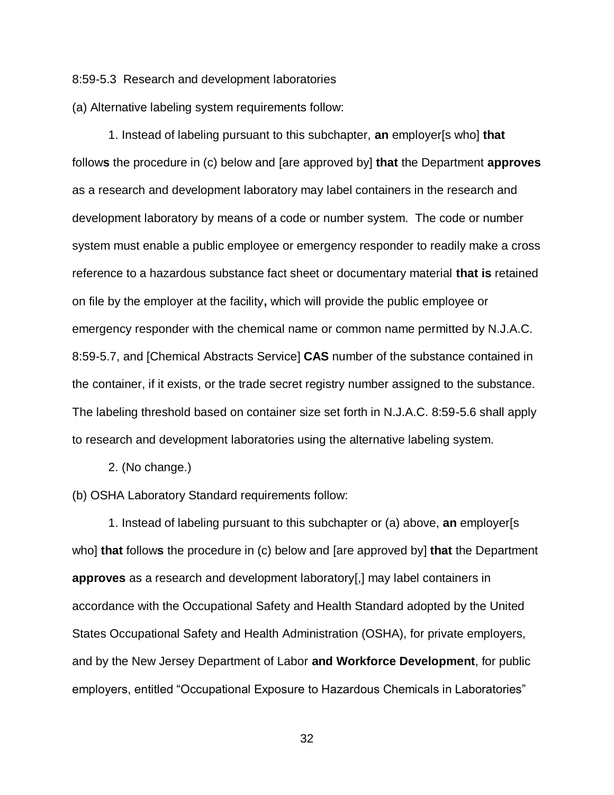8:59-5.3 Research and development laboratories

(a) Alternative labeling system requirements follow:

1. Instead of labeling pursuant to this subchapter, **an** employer[s who] **that** follow**s** the procedure in (c) below and [are approved by] **that** the Department **approves**  as a research and development laboratory may label containers in the research and development laboratory by means of a code or number system. The code or number system must enable a public employee or emergency responder to readily make a cross reference to a hazardous substance fact sheet or documentary material **that is** retained on file by the employer at the facility**,** which will provide the public employee or emergency responder with the chemical name or common name permitted by N.J.A.C. 8:59-5.7, and [Chemical Abstracts Service] **CAS** number of the substance contained in the container, if it exists, or the trade secret registry number assigned to the substance. The labeling threshold based on container size set forth in N.J.A.C. 8:59-5.6 shall apply to research and development laboratories using the alternative labeling system.

2. (No change.)

(b) OSHA Laboratory Standard requirements follow:

1. Instead of labeling pursuant to this subchapter or (a) above, **an** employer[s who] **that** follow**s** the procedure in (c) below and [are approved by] **that** the Department **approves** as a research and development laboratory[,] may label containers in accordance with the Occupational Safety and Health Standard adopted by the United States Occupational Safety and Health Administration (OSHA), for private employers, and by the New Jersey Department of Labor **and Workforce Development**, for public employers, entitled "Occupational Exposure to Hazardous Chemicals in Laboratories"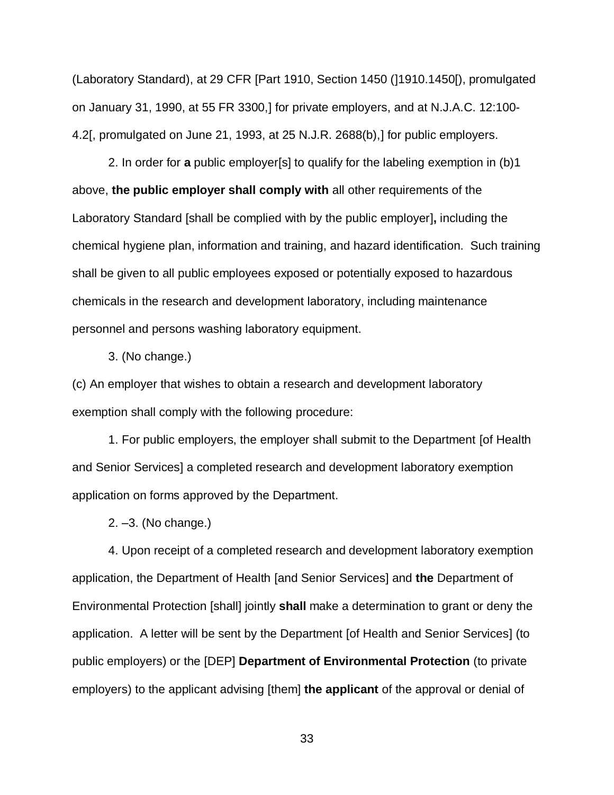(Laboratory Standard), at 29 CFR [Part 1910, Section 1450 (]1910.1450[), promulgated on January 31, 1990, at 55 FR 3300,] for private employers, and at N.J.A.C. 12:100- 4.2[, promulgated on June 21, 1993, at 25 N.J.R. 2688(b),] for public employers.

2. In order for **a** public employer[s] to qualify for the labeling exemption in (b)1 above, **the public employer shall comply with** all other requirements of the Laboratory Standard [shall be complied with by the public employer]**,** including the chemical hygiene plan, information and training, and hazard identification. Such training shall be given to all public employees exposed or potentially exposed to hazardous chemicals in the research and development laboratory, including maintenance personnel and persons washing laboratory equipment.

3. (No change.)

(c) An employer that wishes to obtain a research and development laboratory exemption shall comply with the following procedure:

1. For public employers, the employer shall submit to the Department [of Health and Senior Services] a completed research and development laboratory exemption application on forms approved by the Department.

2. –3. (No change.)

4. Upon receipt of a completed research and development laboratory exemption application, the Department of Health [and Senior Services] and **the** Department of Environmental Protection [shall] jointly **shall** make a determination to grant or deny the application. A letter will be sent by the Department [of Health and Senior Services] (to public employers) or the [DEP] **Department of Environmental Protection** (to private employers) to the applicant advising [them] **the applicant** of the approval or denial of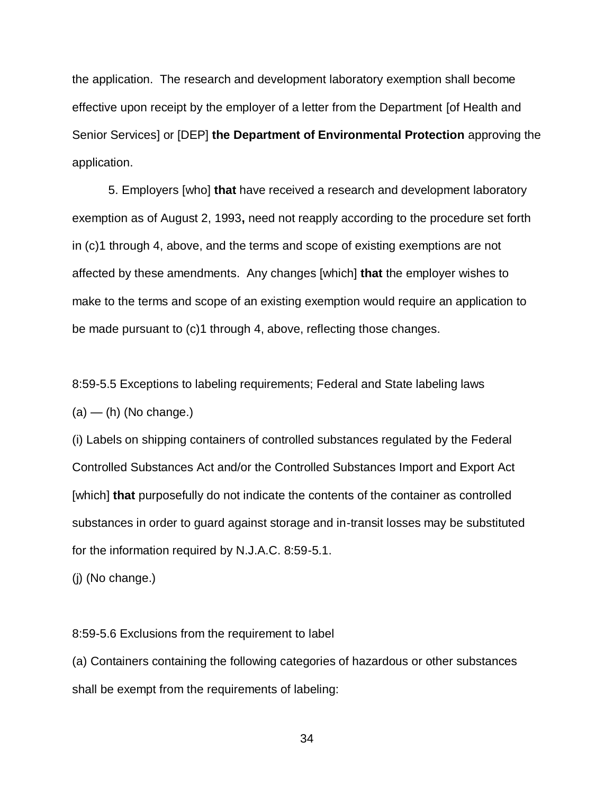the application. The research and development laboratory exemption shall become effective upon receipt by the employer of a letter from the Department [of Health and Senior Services] or [DEP] **the Department of Environmental Protection** approving the application.

5. Employers [who] **that** have received a research and development laboratory exemption as of August 2, 1993**,** need not reapply according to the procedure set forth in (c)1 through 4, above, and the terms and scope of existing exemptions are not affected by these amendments. Any changes [which] **that** the employer wishes to make to the terms and scope of an existing exemption would require an application to be made pursuant to (c)1 through 4, above, reflecting those changes.

8:59-5.5 Exceptions to labeling requirements; Federal and State labeling laws  $(a)$  — (h) (No change.)

(i) Labels on shipping containers of controlled substances regulated by the Federal Controlled Substances Act and/or the Controlled Substances Import and Export Act [which] **that** purposefully do not indicate the contents of the container as controlled substances in order to guard against storage and in-transit losses may be substituted for the information required by N.J.A.C. 8:59-5.1.

(j) (No change.)

8:59-5.6 Exclusions from the requirement to label

(a) Containers containing the following categories of hazardous or other substances shall be exempt from the requirements of labeling: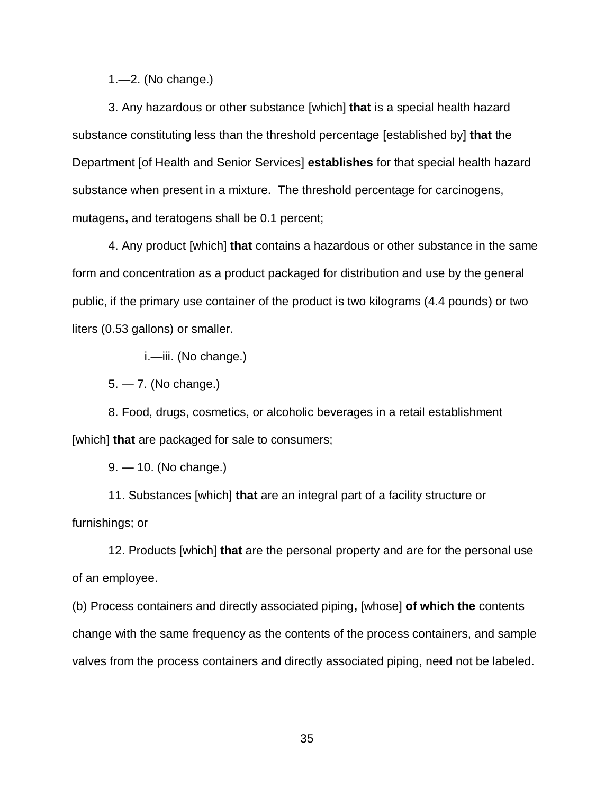1.—2. (No change.)

3. Any hazardous or other substance [which] **that** is a special health hazard substance constituting less than the threshold percentage [established by] **that** the Department [of Health and Senior Services] **establishes** for that special health hazard substance when present in a mixture. The threshold percentage for carcinogens, mutagens**,** and teratogens shall be 0.1 percent;

4. Any product [which] **that** contains a hazardous or other substance in the same form and concentration as a product packaged for distribution and use by the general public, if the primary use container of the product is two kilograms (4.4 pounds) or two liters (0.53 gallons) or smaller.

i.—iii. (No change.)

5. — 7. (No change.)

8. Food, drugs, cosmetics, or alcoholic beverages in a retail establishment [which] **that** are packaged for sale to consumers;

9. — 10. (No change.)

11. Substances [which] **that** are an integral part of a facility structure or furnishings; or

12. Products [which] **that** are the personal property and are for the personal use of an employee.

(b) Process containers and directly associated piping**,** [whose] **of which the** contents change with the same frequency as the contents of the process containers, and sample valves from the process containers and directly associated piping, need not be labeled.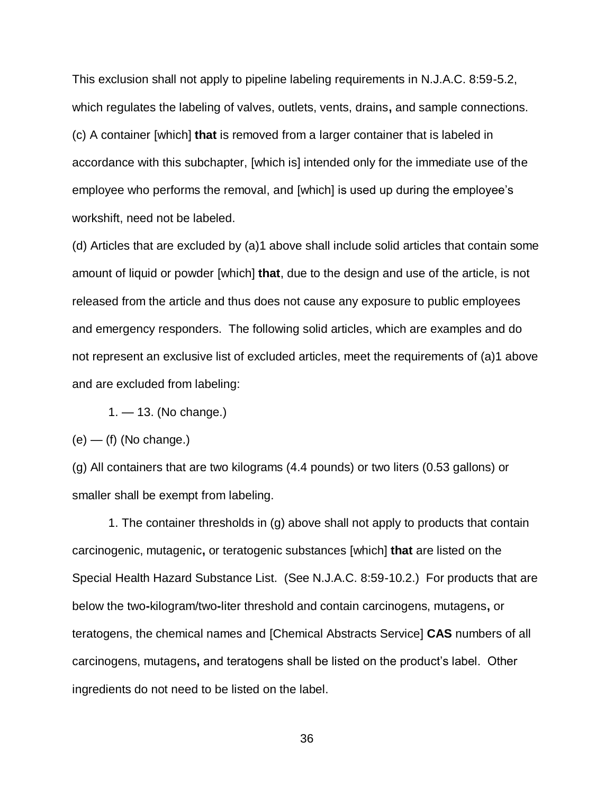This exclusion shall not apply to pipeline labeling requirements in N.J.A.C. 8:59-5.2, which regulates the labeling of valves, outlets, vents, drains**,** and sample connections. (c) A container [which] **that** is removed from a larger container that is labeled in accordance with this subchapter, [which is] intended only for the immediate use of the employee who performs the removal, and [which] is used up during the employee's workshift, need not be labeled.

(d) Articles that are excluded by (a)1 above shall include solid articles that contain some amount of liquid or powder [which] **that**, due to the design and use of the article, is not released from the article and thus does not cause any exposure to public employees and emergency responders. The following solid articles, which are examples and do not represent an exclusive list of excluded articles, meet the requirements of (a)1 above and are excluded from labeling:

1. — 13. (No change.)

 $(e)$  — (f) (No change.)

(g) All containers that are two kilograms (4.4 pounds) or two liters (0.53 gallons) or smaller shall be exempt from labeling.

1. The container thresholds in (g) above shall not apply to products that contain carcinogenic, mutagenic**,** or teratogenic substances [which] **that** are listed on the Special Health Hazard Substance List. (See N.J.A.C. 8:59-10.2.) For products that are below the two**-**kilogram/two**-**liter threshold and contain carcinogens, mutagens**,** or teratogens, the chemical names and [Chemical Abstracts Service] **CAS** numbers of all carcinogens, mutagens**,** and teratogens shall be listed on the product's label. Other ingredients do not need to be listed on the label.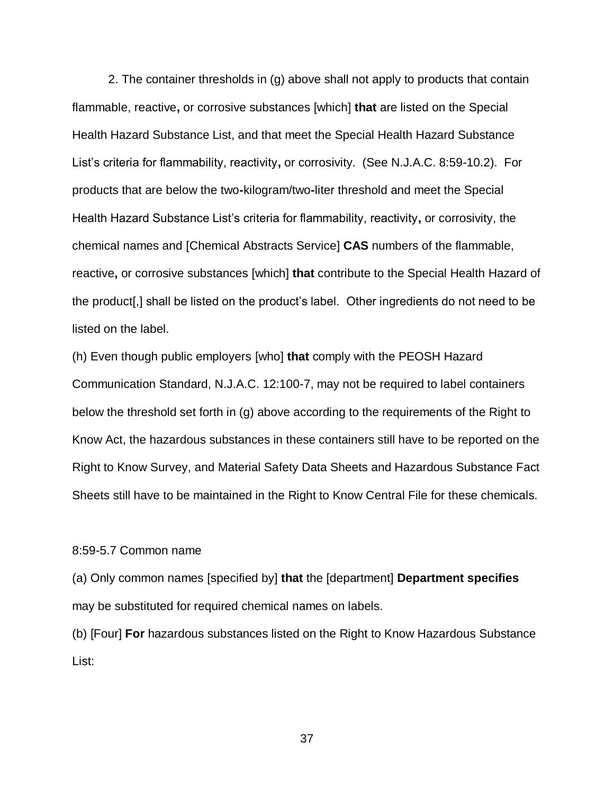2. The container thresholds in (g) above shall not apply to products that contain flammable, reactive**,** or corrosive substances [which] **that** are listed on the Special Health Hazard Substance List, and that meet the Special Health Hazard Substance List's criteria for flammability, reactivity**,** or corrosivity. (See N.J.A.C. 8:59-10.2). For products that are below the two**-**kilogram/two**-**liter threshold and meet the Special Health Hazard Substance List's criteria for flammability, reactivity**,** or corrosivity, the chemical names and [Chemical Abstracts Service] **CAS** numbers of the flammable, reactive**,** or corrosive substances [which] **that** contribute to the Special Health Hazard of the product[,] shall be listed on the product's label. Other ingredients do not need to be listed on the label.

(h) Even though public employers [who] **that** comply with the PEOSH Hazard Communication Standard, N.J.A.C. 12:100-7, may not be required to label containers below the threshold set forth in (g) above according to the requirements of the Right to Know Act, the hazardous substances in these containers still have to be reported on the Right to Know Survey, and Material Safety Data Sheets and Hazardous Substance Fact Sheets still have to be maintained in the Right to Know Central File for these chemicals.

## 8:59-5.7 Common name

(a) Only common names [specified by] **that** the [department] **Department specifies** may be substituted for required chemical names on labels.

(b) [Four] **For** hazardous substances listed on the Right to Know Hazardous Substance List: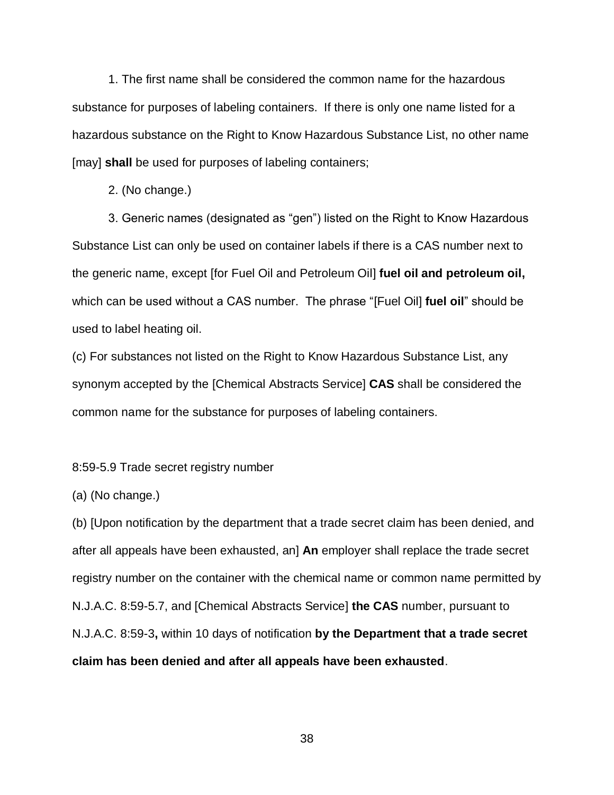1. The first name shall be considered the common name for the hazardous substance for purposes of labeling containers. If there is only one name listed for a hazardous substance on the Right to Know Hazardous Substance List, no other name [may] **shall** be used for purposes of labeling containers;

2. (No change.)

3. Generic names (designated as "gen") listed on the Right to Know Hazardous Substance List can only be used on container labels if there is a CAS number next to the generic name, except [for Fuel Oil and Petroleum Oil] **fuel oil and petroleum oil,** which can be used without a CAS number. The phrase "[Fuel Oil] **fuel oil**" should be used to label heating oil.

(c) For substances not listed on the Right to Know Hazardous Substance List, any synonym accepted by the [Chemical Abstracts Service] **CAS** shall be considered the common name for the substance for purposes of labeling containers.

8:59-5.9 Trade secret registry number

(a) (No change.)

(b) [Upon notification by the department that a trade secret claim has been denied, and after all appeals have been exhausted, an] **An** employer shall replace the trade secret registry number on the container with the chemical name or common name permitted by N.J.A.C. 8:59-5.7, and [Chemical Abstracts Service] **the CAS** number, pursuant to N.J.A.C. 8:59-3**,** within 10 days of notification **by the Department that a trade secret claim has been denied and after all appeals have been exhausted**.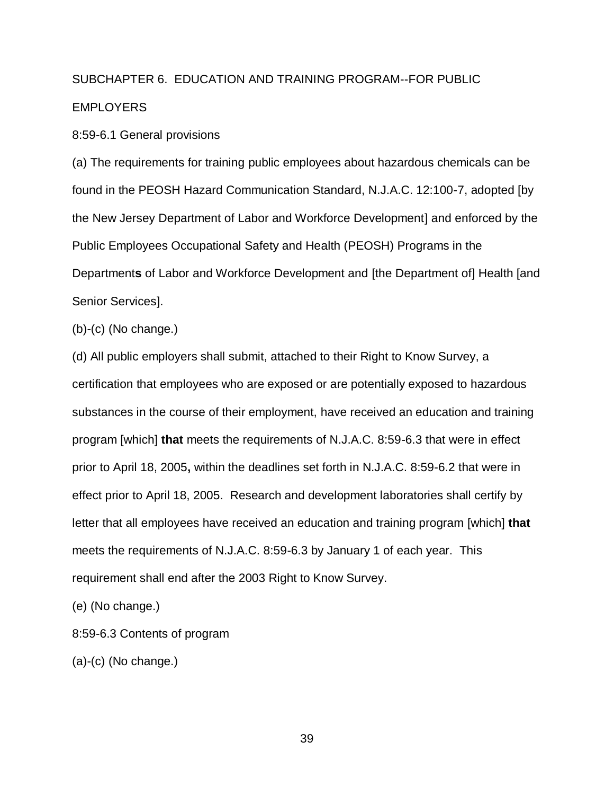# SUBCHAPTER 6. EDUCATION AND TRAINING PROGRAM--FOR PUBLIC **EMPLOYERS**

8:59-6.1 General provisions

(a) The requirements for training public employees about hazardous chemicals can be found in the PEOSH Hazard Communication Standard, N.J.A.C. 12:100-7, adopted [by the New Jersey Department of Labor and Workforce Development] and enforced by the Public Employees Occupational Safety and Health (PEOSH) Programs in the Department**s** of Labor and Workforce Development and [the Department of] Health [and Senior Services].

(b)-(c) (No change.)

(d) All public employers shall submit, attached to their Right to Know Survey, a certification that employees who are exposed or are potentially exposed to hazardous substances in the course of their employment, have received an education and training program [which] **that** meets the requirements of N.J.A.C. 8:59-6.3 that were in effect prior to April 18, 2005**,** within the deadlines set forth in N.J.A.C. 8:59-6.2 that were in effect prior to April 18, 2005. Research and development laboratories shall certify by letter that all employees have received an education and training program [which] **that** meets the requirements of N.J.A.C. 8:59-6.3 by January 1 of each year. This requirement shall end after the 2003 Right to Know Survey.

(e) (No change.)

8:59-6.3 Contents of program

(a)-(c) (No change.)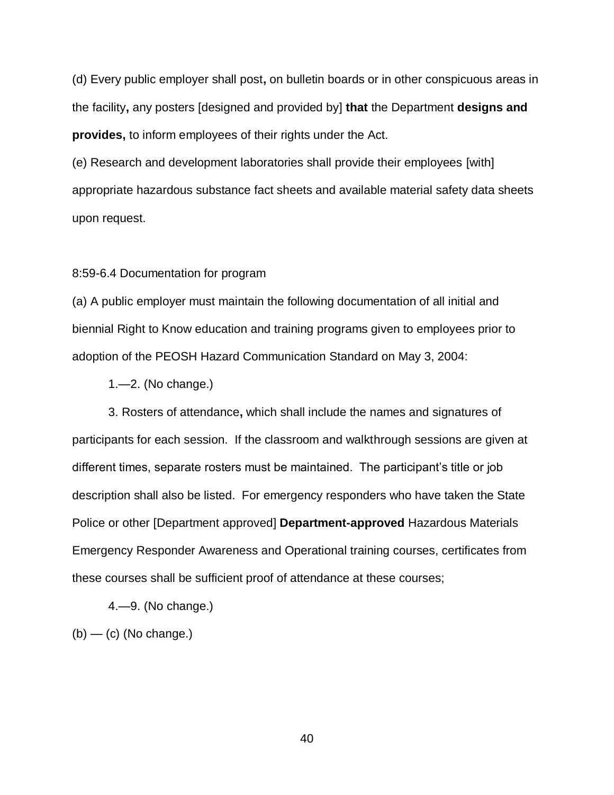(d) Every public employer shall post**,** on bulletin boards or in other conspicuous areas in the facility**,** any posters [designed and provided by] **that** the Department **designs and provides,** to inform employees of their rights under the Act.

(e) Research and development laboratories shall provide their employees [with] appropriate hazardous substance fact sheets and available material safety data sheets upon request.

#### 8:59-6.4 Documentation for program

(a) A public employer must maintain the following documentation of all initial and biennial Right to Know education and training programs given to employees prior to adoption of the PEOSH Hazard Communication Standard on May 3, 2004:

1.—2. (No change.)

3. Rosters of attendance**,** which shall include the names and signatures of participants for each session. If the classroom and walkthrough sessions are given at different times, separate rosters must be maintained. The participant's title or job description shall also be listed. For emergency responders who have taken the State Police or other [Department approved] **Department-approved** Hazardous Materials Emergency Responder Awareness and Operational training courses, certificates from these courses shall be sufficient proof of attendance at these courses;

4.—9. (No change.)

 $(b)$  — (c) (No change.)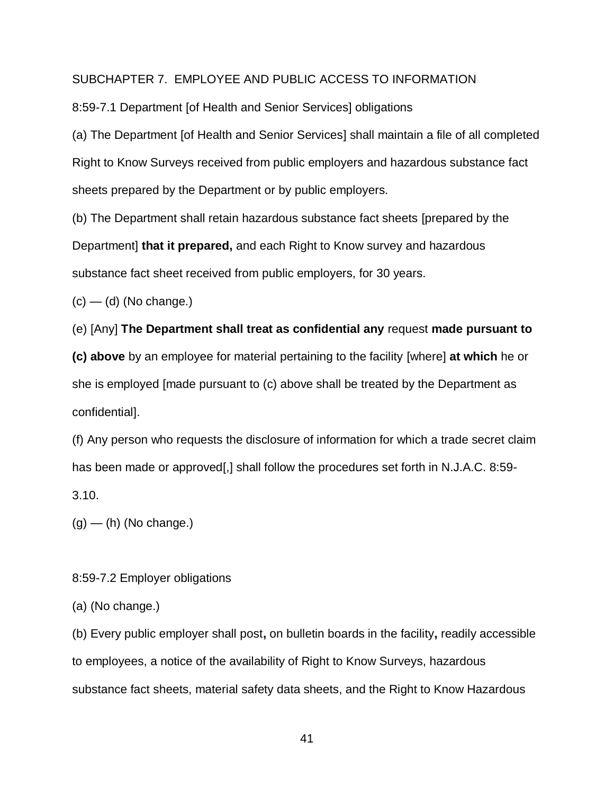## SUBCHAPTER 7. EMPLOYEE AND PUBLIC ACCESS TO INFORMATION

8:59-7.1 Department [of Health and Senior Services] obligations

(a) The Department [of Health and Senior Services] shall maintain a file of all completed Right to Know Surveys received from public employers and hazardous substance fact sheets prepared by the Department or by public employers.

(b) The Department shall retain hazardous substance fact sheets [prepared by the Department] **that it prepared,** and each Right to Know survey and hazardous substance fact sheet received from public employers, for 30 years.

 $(c)$  — (d) (No change.)

(e) [Any] **The Department shall treat as confidential any** request **made pursuant to** 

**(c) above** by an employee for material pertaining to the facility [where] **at which** he or she is employed [made pursuant to (c) above shall be treated by the Department as confidential].

(f) Any person who requests the disclosure of information for which a trade secret claim has been made or approved[,] shall follow the procedures set forth in N.J.A.C. 8:59-3.10.

 $(g)$  — (h) (No change.)

8:59-7.2 Employer obligations

(a) (No change.)

(b) Every public employer shall post**,** on bulletin boards in the facility**,** readily accessible to employees, a notice of the availability of Right to Know Surveys, hazardous substance fact sheets, material safety data sheets, and the Right to Know Hazardous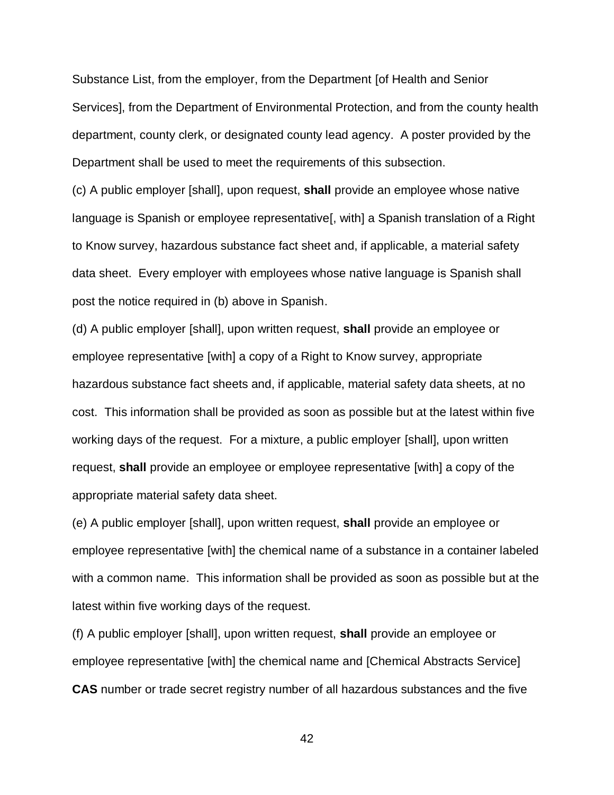Substance List, from the employer, from the Department [of Health and Senior Services], from the Department of Environmental Protection, and from the county health department, county clerk, or designated county lead agency. A poster provided by the Department shall be used to meet the requirements of this subsection.

(c) A public employer [shall], upon request, **shall** provide an employee whose native language is Spanish or employee representative<sup>[, with]</sup> a Spanish translation of a Right to Know survey, hazardous substance fact sheet and, if applicable, a material safety data sheet. Every employer with employees whose native language is Spanish shall post the notice required in (b) above in Spanish.

(d) A public employer [shall], upon written request, **shall** provide an employee or employee representative [with] a copy of a Right to Know survey, appropriate hazardous substance fact sheets and, if applicable, material safety data sheets, at no cost. This information shall be provided as soon as possible but at the latest within five working days of the request. For a mixture, a public employer [shall], upon written request, **shall** provide an employee or employee representative [with] a copy of the appropriate material safety data sheet.

(e) A public employer [shall], upon written request, **shall** provide an employee or employee representative [with] the chemical name of a substance in a container labeled with a common name. This information shall be provided as soon as possible but at the latest within five working days of the request.

(f) A public employer [shall], upon written request, **shall** provide an employee or employee representative [with] the chemical name and [Chemical Abstracts Service] **CAS** number or trade secret registry number of all hazardous substances and the five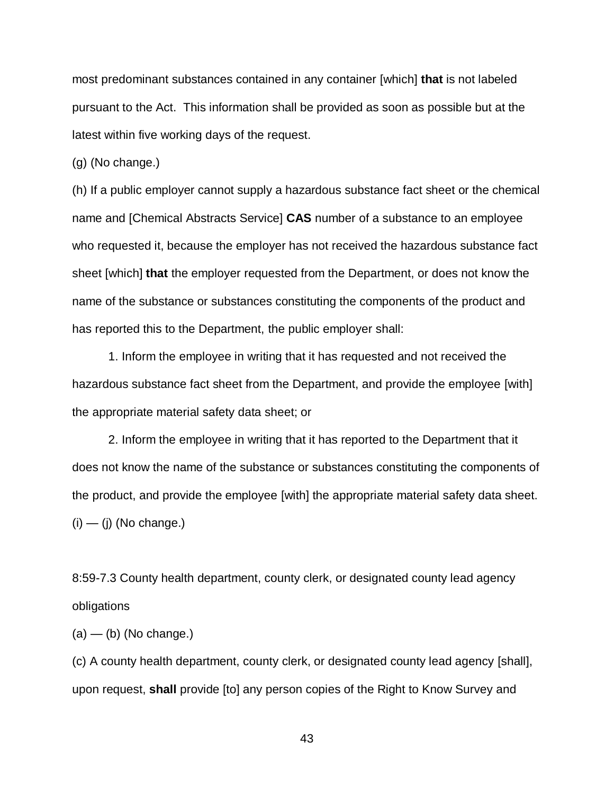most predominant substances contained in any container [which] **that** is not labeled pursuant to the Act. This information shall be provided as soon as possible but at the latest within five working days of the request.

(g) (No change.)

(h) If a public employer cannot supply a hazardous substance fact sheet or the chemical name and [Chemical Abstracts Service] **CAS** number of a substance to an employee who requested it, because the employer has not received the hazardous substance fact sheet [which] **that** the employer requested from the Department, or does not know the name of the substance or substances constituting the components of the product and has reported this to the Department, the public employer shall:

1. Inform the employee in writing that it has requested and not received the hazardous substance fact sheet from the Department, and provide the employee [with] the appropriate material safety data sheet; or

2. Inform the employee in writing that it has reported to the Department that it does not know the name of the substance or substances constituting the components of the product, and provide the employee [with] the appropriate material safety data sheet.  $(i)$  —  $(j)$  (No change.)

8:59-7.3 County health department, county clerk, or designated county lead agency obligations

 $(a)$  — (b) (No change.)

(c) A county health department, county clerk, or designated county lead agency [shall], upon request, **shall** provide [to] any person copies of the Right to Know Survey and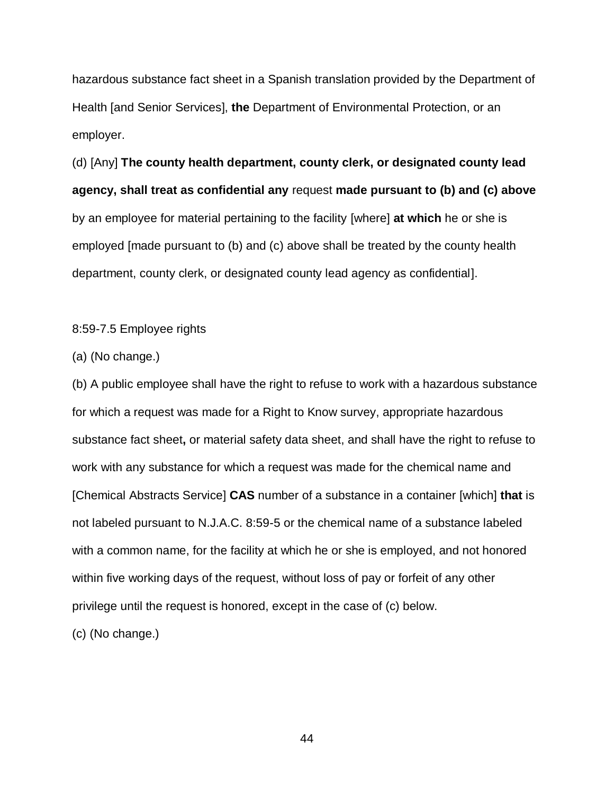hazardous substance fact sheet in a Spanish translation provided by the Department of Health [and Senior Services], **the** Department of Environmental Protection, or an employer.

(d) [Any] **The county health department, county clerk, or designated county lead agency, shall treat as confidential any** request **made pursuant to (b) and (c) above** by an employee for material pertaining to the facility [where] **at which** he or she is employed [made pursuant to (b) and (c) above shall be treated by the county health department, county clerk, or designated county lead agency as confidential].

8:59-7.5 Employee rights

(a) (No change.)

(b) A public employee shall have the right to refuse to work with a hazardous substance for which a request was made for a Right to Know survey, appropriate hazardous substance fact sheet**,** or material safety data sheet, and shall have the right to refuse to work with any substance for which a request was made for the chemical name and [Chemical Abstracts Service] **CAS** number of a substance in a container [which] **that** is not labeled pursuant to N.J.A.C. 8:59-5 or the chemical name of a substance labeled with a common name, for the facility at which he or she is employed, and not honored within five working days of the request, without loss of pay or forfeit of any other privilege until the request is honored, except in the case of (c) below.

(c) (No change.)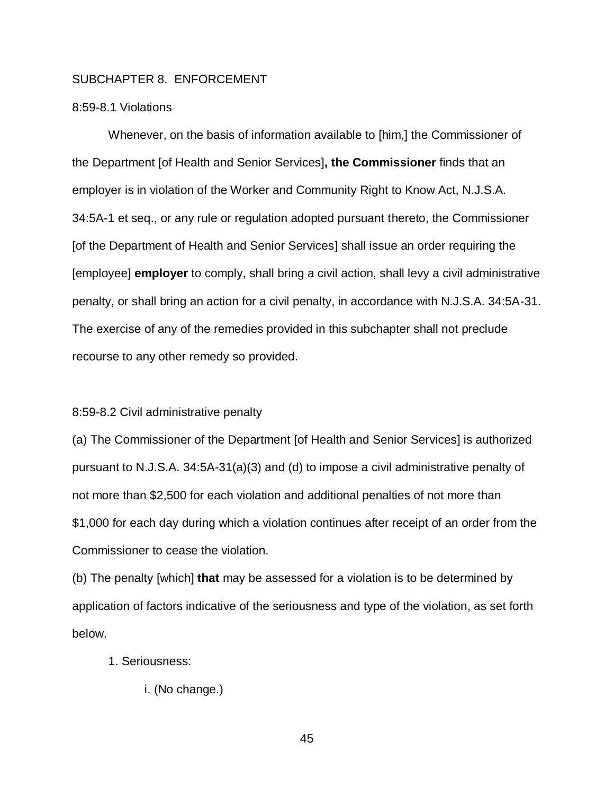## SUBCHAPTER 8. ENFORCEMENT

## 8:59-8.1 Violations

Whenever, on the basis of information available to [him,] the Commissioner of the Department [of Health and Senior Services]**, the Commissioner** finds that an employer is in violation of the Worker and Community Right to Know Act, N.J.S.A. 34:5A-1 et seq., or any rule or regulation adopted pursuant thereto, the Commissioner [of the Department of Health and Senior Services] shall issue an order requiring the [employee] **employer** to comply, shall bring a civil action, shall levy a civil administrative penalty, or shall bring an action for a civil penalty, in accordance with N.J.S.A. 34:5A-31. The exercise of any of the remedies provided in this subchapter shall not preclude recourse to any other remedy so provided.

#### 8:59-8.2 Civil administrative penalty

(a) The Commissioner of the Department [of Health and Senior Services] is authorized pursuant to N.J.S.A. 34:5A-31(a)(3) and (d) to impose a civil administrative penalty of not more than \$2,500 for each violation and additional penalties of not more than \$1,000 for each day during which a violation continues after receipt of an order from the Commissioner to cease the violation.

(b) The penalty [which] **that** may be assessed for a violation is to be determined by application of factors indicative of the seriousness and type of the violation, as set forth below.

- 1. Seriousness:
	- i. (No change.)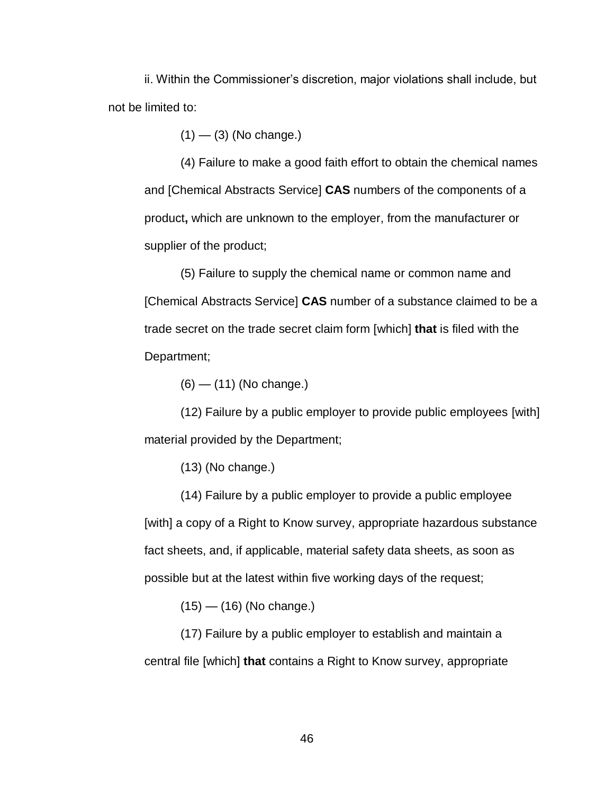ii. Within the Commissioner's discretion, major violations shall include, but not be limited to:

 $(1)$  —  $(3)$  (No change.)

(4) Failure to make a good faith effort to obtain the chemical names and [Chemical Abstracts Service] **CAS** numbers of the components of a product**,** which are unknown to the employer, from the manufacturer or supplier of the product;

(5) Failure to supply the chemical name or common name and [Chemical Abstracts Service] **CAS** number of a substance claimed to be a trade secret on the trade secret claim form [which] **that** is filed with the Department;

(6) — (11) (No change.)

(12) Failure by a public employer to provide public employees [with] material provided by the Department;

(13) (No change.)

(14) Failure by a public employer to provide a public employee [with] a copy of a Right to Know survey, appropriate hazardous substance fact sheets, and, if applicable, material safety data sheets, as soon as possible but at the latest within five working days of the request;

 $(15)$  —  $(16)$  (No change.)

(17) Failure by a public employer to establish and maintain a central file [which] **that** contains a Right to Know survey, appropriate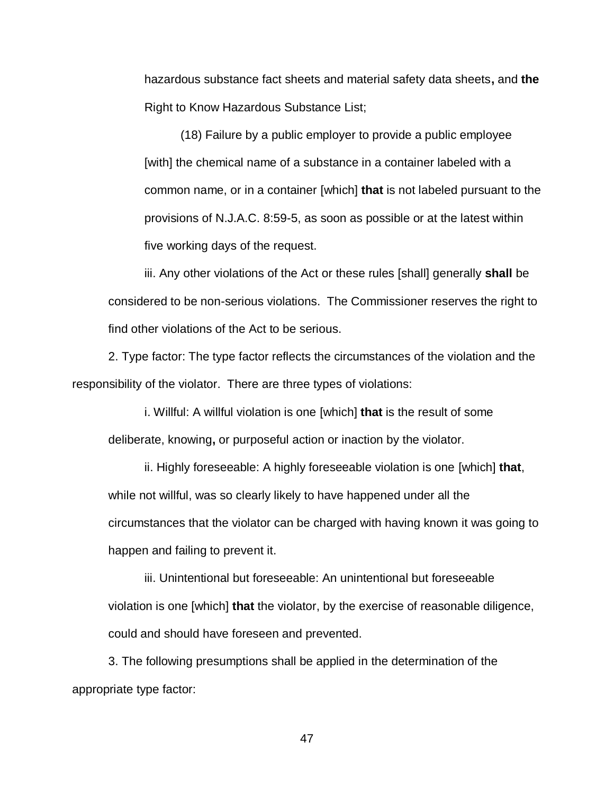hazardous substance fact sheets and material safety data sheets**,** and **the**  Right to Know Hazardous Substance List;

(18) Failure by a public employer to provide a public employee [with] the chemical name of a substance in a container labeled with a common name, or in a container [which] **that** is not labeled pursuant to the provisions of N.J.A.C. 8:59-5, as soon as possible or at the latest within five working days of the request.

iii. Any other violations of the Act or these rules [shall] generally **shall** be considered to be non-serious violations. The Commissioner reserves the right to find other violations of the Act to be serious.

2. Type factor: The type factor reflects the circumstances of the violation and the responsibility of the violator. There are three types of violations:

i. Willful: A willful violation is one [which] **that** is the result of some deliberate, knowing**,** or purposeful action or inaction by the violator.

ii. Highly foreseeable: A highly foreseeable violation is one [which] **that**, while not willful, was so clearly likely to have happened under all the circumstances that the violator can be charged with having known it was going to happen and failing to prevent it.

iii. Unintentional but foreseeable: An unintentional but foreseeable violation is one [which] **that** the violator, by the exercise of reasonable diligence, could and should have foreseen and prevented.

3. The following presumptions shall be applied in the determination of the appropriate type factor: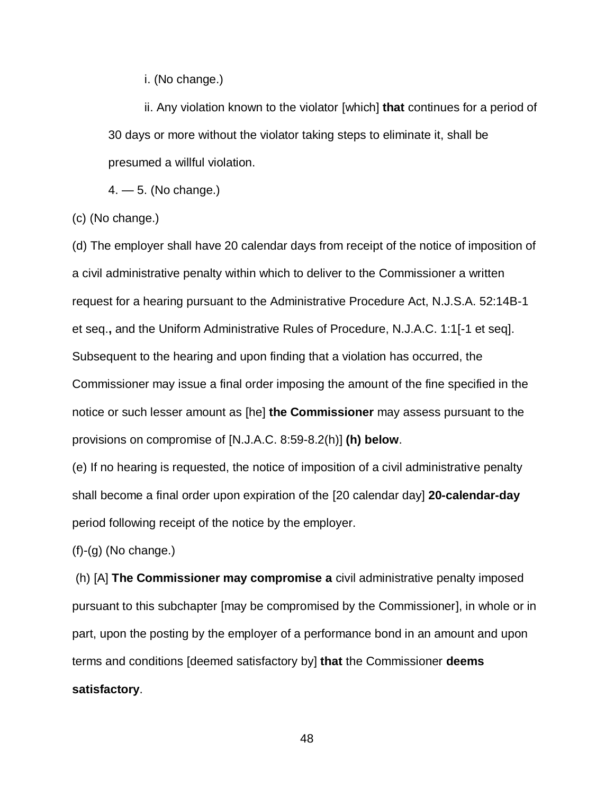i. (No change.)

ii. Any violation known to the violator [which] **that** continues for a period of 30 days or more without the violator taking steps to eliminate it, shall be presumed a willful violation.

4. — 5. (No change.)

(c) (No change.)

(d) The employer shall have 20 calendar days from receipt of the notice of imposition of a civil administrative penalty within which to deliver to the Commissioner a written request for a hearing pursuant to the Administrative Procedure Act, N.J.S.A. 52:14B-1 et seq.**,** and the Uniform Administrative Rules of Procedure, N.J.A.C. 1:1[-1 et seq]. Subsequent to the hearing and upon finding that a violation has occurred, the Commissioner may issue a final order imposing the amount of the fine specified in the notice or such lesser amount as [he] **the Commissioner** may assess pursuant to the provisions on compromise of [N.J.A.C. 8:59-8.2(h)] **(h) below**.

(e) If no hearing is requested, the notice of imposition of a civil administrative penalty shall become a final order upon expiration of the [20 calendar day] **20-calendar-day** period following receipt of the notice by the employer.

 $(f)-(g)$  (No change.)

(h) [A] **The Commissioner may compromise a** civil administrative penalty imposed pursuant to this subchapter [may be compromised by the Commissioner], in whole or in part, upon the posting by the employer of a performance bond in an amount and upon terms and conditions [deemed satisfactory by] **that** the Commissioner **deems satisfactory**.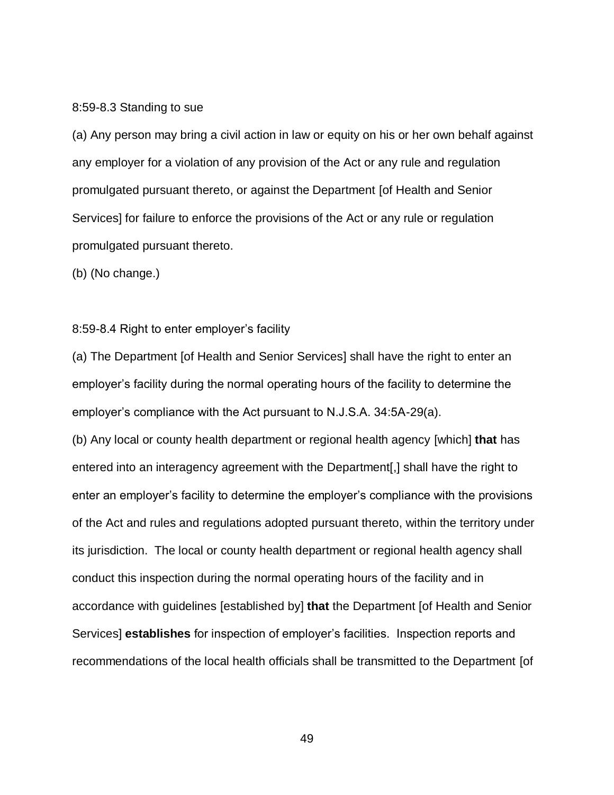#### 8:59-8.3 Standing to sue

(a) Any person may bring a civil action in law or equity on his or her own behalf against any employer for a violation of any provision of the Act or any rule and regulation promulgated pursuant thereto, or against the Department [of Health and Senior Services] for failure to enforce the provisions of the Act or any rule or regulation promulgated pursuant thereto.

(b) (No change.)

## 8:59-8.4 Right to enter employer's facility

(a) The Department [of Health and Senior Services] shall have the right to enter an employer's facility during the normal operating hours of the facility to determine the employer's compliance with the Act pursuant to N.J.S.A. 34:5A-29(a).

(b) Any local or county health department or regional health agency [which] **that** has entered into an interagency agreement with the Department[,] shall have the right to enter an employer's facility to determine the employer's compliance with the provisions of the Act and rules and regulations adopted pursuant thereto, within the territory under its jurisdiction. The local or county health department or regional health agency shall conduct this inspection during the normal operating hours of the facility and in accordance with guidelines [established by] **that** the Department [of Health and Senior Services] **establishes** for inspection of employer's facilities. Inspection reports and recommendations of the local health officials shall be transmitted to the Department [of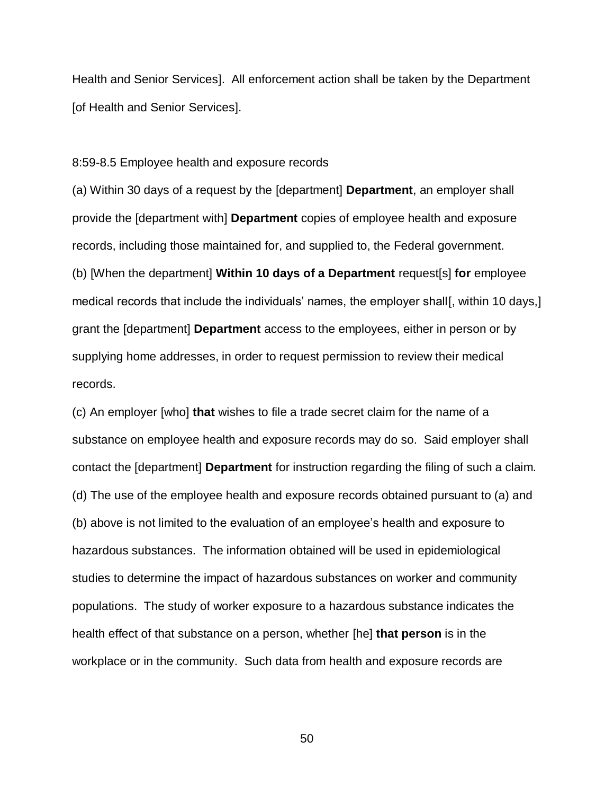Health and Senior Services]. All enforcement action shall be taken by the Department [of Health and Senior Services].

8:59-8.5 Employee health and exposure records

(a) Within 30 days of a request by the [department] **Department**, an employer shall provide the [department with] **Department** copies of employee health and exposure records, including those maintained for, and supplied to, the Federal government. (b) [When the department] **Within 10 days of a Department** request[s] **for** employee medical records that include the individuals' names, the employer shall, within 10 days, grant the [department] **Department** access to the employees, either in person or by supplying home addresses, in order to request permission to review their medical records.

(c) An employer [who] **that** wishes to file a trade secret claim for the name of a substance on employee health and exposure records may do so. Said employer shall contact the [department] **Department** for instruction regarding the filing of such a claim. (d) The use of the employee health and exposure records obtained pursuant to (a) and (b) above is not limited to the evaluation of an employee's health and exposure to hazardous substances. The information obtained will be used in epidemiological studies to determine the impact of hazardous substances on worker and community populations. The study of worker exposure to a hazardous substance indicates the health effect of that substance on a person, whether [he] **that person** is in the workplace or in the community. Such data from health and exposure records are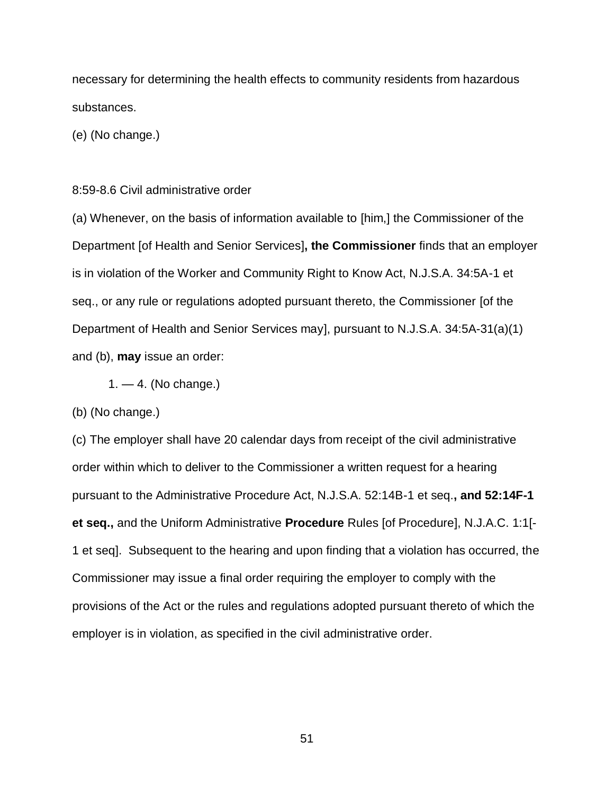necessary for determining the health effects to community residents from hazardous substances.

(e) (No change.)

### 8:59-8.6 Civil administrative order

(a) Whenever, on the basis of information available to [him,] the Commissioner of the Department [of Health and Senior Services]**, the Commissioner** finds that an employer is in violation of the Worker and Community Right to Know Act, N.J.S.A. 34:5A-1 et seq., or any rule or regulations adopted pursuant thereto, the Commissioner [of the Department of Health and Senior Services may], pursuant to N.J.S.A. 34:5A-31(a)(1) and (b), **may** issue an order:

 $1. - 4$ . (No change.)

(b) (No change.)

(c) The employer shall have 20 calendar days from receipt of the civil administrative order within which to deliver to the Commissioner a written request for a hearing pursuant to the Administrative Procedure Act, N.J.S.A. 52:14B-1 et seq.**, and 52:14F-1 et seq.,** and the Uniform Administrative **Procedure** Rules [of Procedure], N.J.A.C. 1:1[- 1 et seq]. Subsequent to the hearing and upon finding that a violation has occurred, the Commissioner may issue a final order requiring the employer to comply with the provisions of the Act or the rules and regulations adopted pursuant thereto of which the employer is in violation, as specified in the civil administrative order.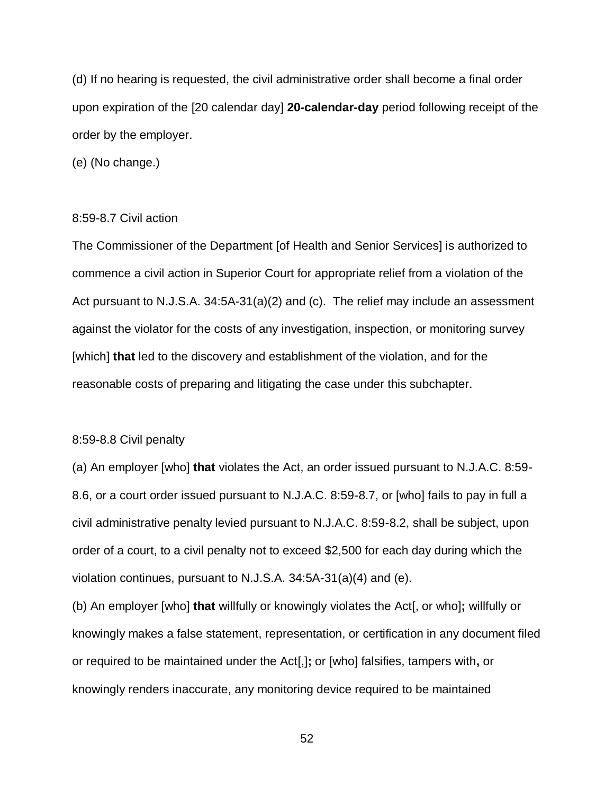(d) If no hearing is requested, the civil administrative order shall become a final order upon expiration of the [20 calendar day] **20-calendar-day** period following receipt of the order by the employer.

(e) (No change.)

### 8:59-8.7 Civil action

The Commissioner of the Department [of Health and Senior Services] is authorized to commence a civil action in Superior Court for appropriate relief from a violation of the Act pursuant to N.J.S.A. 34:5A-31(a)(2) and (c). The relief may include an assessment against the violator for the costs of any investigation, inspection, or monitoring survey [which] **that** led to the discovery and establishment of the violation, and for the reasonable costs of preparing and litigating the case under this subchapter.

#### 8:59-8.8 Civil penalty

(a) An employer [who] **that** violates the Act, an order issued pursuant to N.J.A.C. 8:59- 8.6, or a court order issued pursuant to N.J.A.C. 8:59-8.7, or [who] fails to pay in full a civil administrative penalty levied pursuant to N.J.A.C. 8:59-8.2, shall be subject, upon order of a court, to a civil penalty not to exceed \$2,500 for each day during which the violation continues, pursuant to N.J.S.A. 34:5A-31(a)(4) and (e).

(b) An employer [who] **that** willfully or knowingly violates the Act[, or who]**;** willfully or knowingly makes a false statement, representation, or certification in any document filed or required to be maintained under the Act[,]**;** or [who] falsifies, tampers with**,** or knowingly renders inaccurate, any monitoring device required to be maintained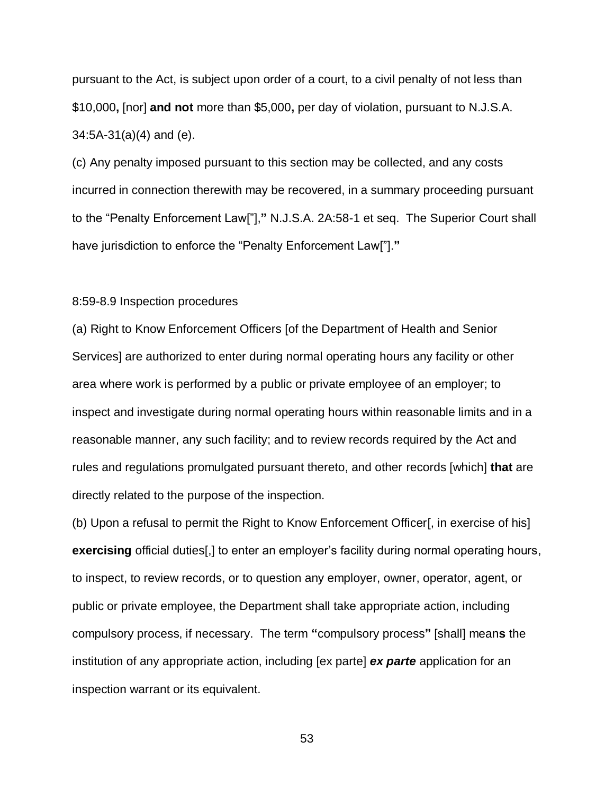pursuant to the Act, is subject upon order of a court, to a civil penalty of not less than \$10,000**,** [nor] **and not** more than \$5,000**,** per day of violation, pursuant to N.J.S.A. 34:5A-31(a)(4) and (e).

(c) Any penalty imposed pursuant to this section may be collected, and any costs incurred in connection therewith may be recovered, in a summary proceeding pursuant to the "Penalty Enforcement Law["],**"** N.J.S.A. 2A:58-1 et seq. The Superior Court shall have jurisdiction to enforce the "Penalty Enforcement Law["].**"**

## 8:59-8.9 Inspection procedures

(a) Right to Know Enforcement Officers [of the Department of Health and Senior Services] are authorized to enter during normal operating hours any facility or other area where work is performed by a public or private employee of an employer; to inspect and investigate during normal operating hours within reasonable limits and in a reasonable manner, any such facility; and to review records required by the Act and rules and regulations promulgated pursuant thereto, and other records [which] **that** are directly related to the purpose of the inspection.

(b) Upon a refusal to permit the Right to Know Enforcement Officer[, in exercise of his] **exercising** official duties[,] to enter an employer's facility during normal operating hours, to inspect, to review records, or to question any employer, owner, operator, agent, or public or private employee, the Department shall take appropriate action, including compulsory process, if necessary. The term **"**compulsory process**"** [shall] mean**s** the institution of any appropriate action, including [ex parte] **ex parte** application for an inspection warrant or its equivalent.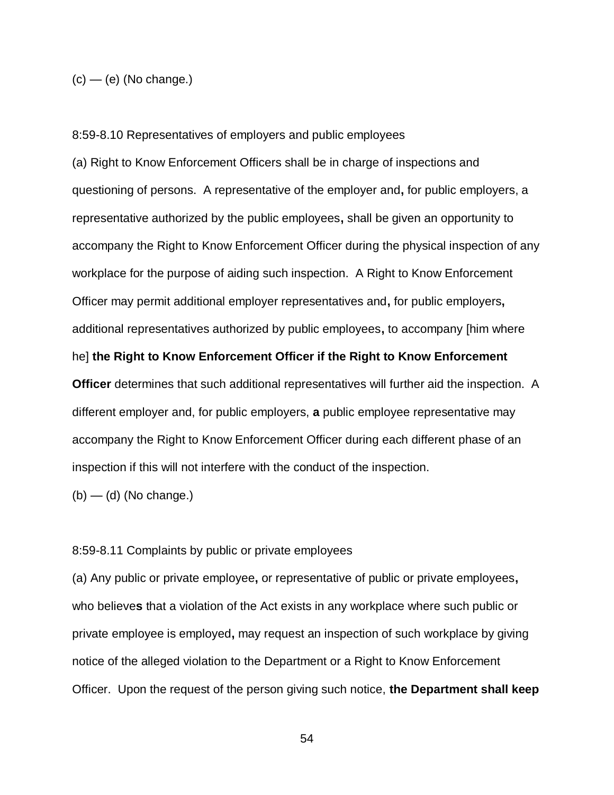$(c)$  — (e) (No change.)

8:59-8.10 Representatives of employers and public employees

(a) Right to Know Enforcement Officers shall be in charge of inspections and questioning of persons. A representative of the employer and**,** for public employers, a representative authorized by the public employees**,** shall be given an opportunity to accompany the Right to Know Enforcement Officer during the physical inspection of any workplace for the purpose of aiding such inspection. A Right to Know Enforcement Officer may permit additional employer representatives and**,** for public employers**,** additional representatives authorized by public employees**,** to accompany [him where he] **the Right to Know Enforcement Officer if the Right to Know Enforcement Officer** determines that such additional representatives will further aid the inspection. A different employer and, for public employers, **a** public employee representative may accompany the Right to Know Enforcement Officer during each different phase of an inspection if this will not interfere with the conduct of the inspection.

 $(b)$  — (d) (No change.)

8:59-8.11 Complaints by public or private employees

(a) Any public or private employee**,** or representative of public or private employees**,** who believe**s** that a violation of the Act exists in any workplace where such public or private employee is employed**,** may request an inspection of such workplace by giving notice of the alleged violation to the Department or a Right to Know Enforcement Officer. Upon the request of the person giving such notice, **the Department shall keep**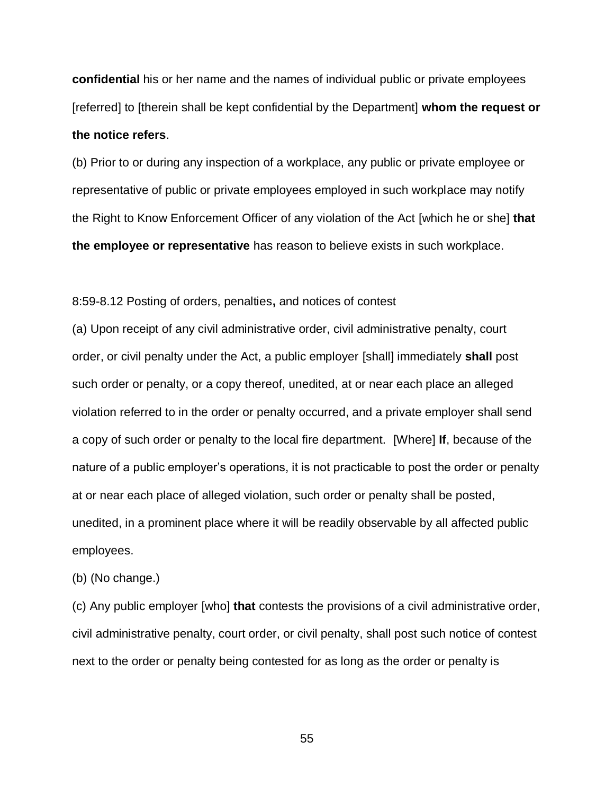**confidential** his or her name and the names of individual public or private employees [referred] to [therein shall be kept confidential by the Department] **whom the request or the notice refers**.

(b) Prior to or during any inspection of a workplace, any public or private employee or representative of public or private employees employed in such workplace may notify the Right to Know Enforcement Officer of any violation of the Act [which he or she] **that the employee or representative** has reason to believe exists in such workplace.

8:59-8.12 Posting of orders, penalties**,** and notices of contest

(a) Upon receipt of any civil administrative order, civil administrative penalty, court order, or civil penalty under the Act, a public employer [shall] immediately **shall** post such order or penalty, or a copy thereof, unedited, at or near each place an alleged violation referred to in the order or penalty occurred, and a private employer shall send a copy of such order or penalty to the local fire department. [Where] **If**, because of the nature of a public employer's operations, it is not practicable to post the order or penalty at or near each place of alleged violation, such order or penalty shall be posted, unedited, in a prominent place where it will be readily observable by all affected public employees.

(b) (No change.)

(c) Any public employer [who] **that** contests the provisions of a civil administrative order, civil administrative penalty, court order, or civil penalty, shall post such notice of contest next to the order or penalty being contested for as long as the order or penalty is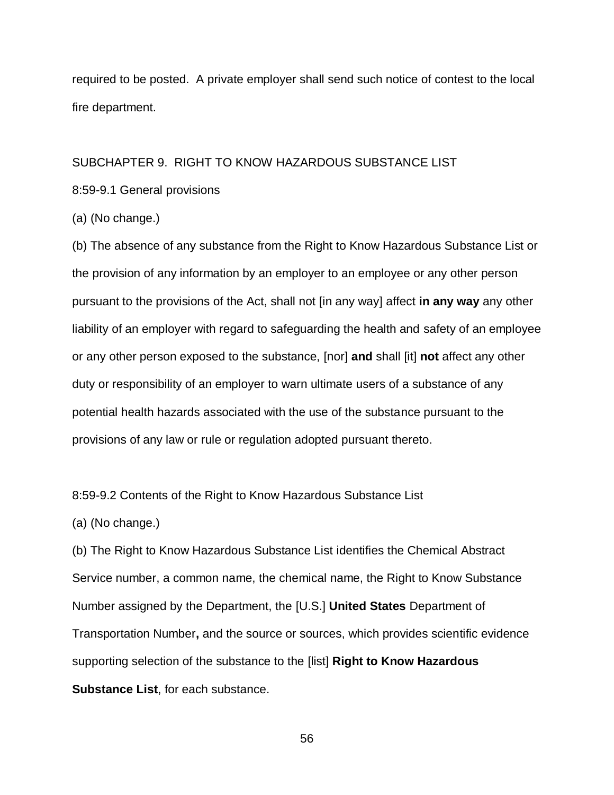required to be posted. A private employer shall send such notice of contest to the local fire department.

## SUBCHAPTER 9. RIGHT TO KNOW HAZARDOUS SUBSTANCE LIST

8:59-9.1 General provisions

(a) (No change.)

(b) The absence of any substance from the Right to Know Hazardous Substance List or the provision of any information by an employer to an employee or any other person pursuant to the provisions of the Act, shall not [in any way] affect **in any way** any other liability of an employer with regard to safeguarding the health and safety of an employee or any other person exposed to the substance, [nor] **and** shall [it] **not** affect any other duty or responsibility of an employer to warn ultimate users of a substance of any potential health hazards associated with the use of the substance pursuant to the provisions of any law or rule or regulation adopted pursuant thereto.

8:59-9.2 Contents of the Right to Know Hazardous Substance List

(a) (No change.)

(b) The Right to Know Hazardous Substance List identifies the Chemical Abstract Service number, a common name, the chemical name, the Right to Know Substance Number assigned by the Department, the [U.S.] **United States** Department of Transportation Number**,** and the source or sources, which provides scientific evidence supporting selection of the substance to the [list] **Right to Know Hazardous Substance List**, for each substance.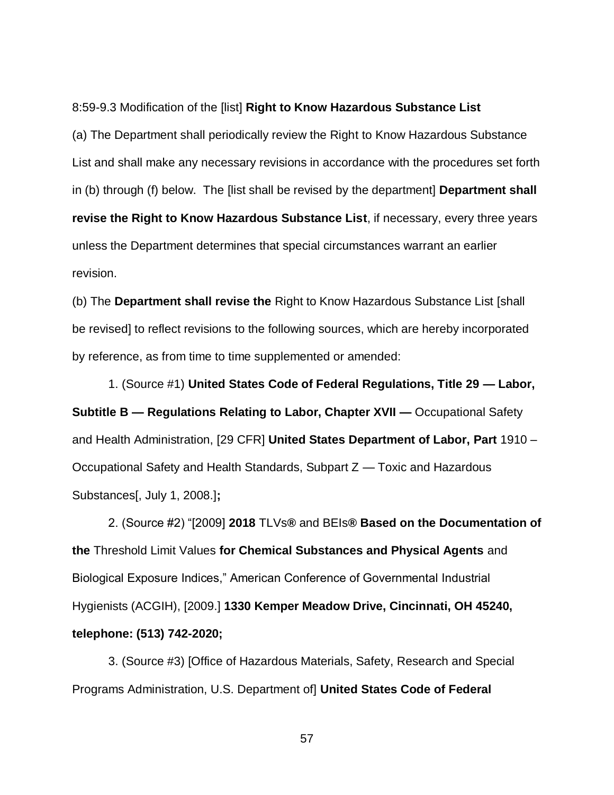#### 8:59-9.3 Modification of the [list] **Right to Know Hazardous Substance List**

(a) The Department shall periodically review the Right to Know Hazardous Substance List and shall make any necessary revisions in accordance with the procedures set forth in (b) through (f) below. The [list shall be revised by the department] **Department shall revise the Right to Know Hazardous Substance List**, if necessary, every three years unless the Department determines that special circumstances warrant an earlier revision.

(b) The **Department shall revise the** Right to Know Hazardous Substance List [shall be revised] to reflect revisions to the following sources, which are hereby incorporated by reference, as from time to time supplemented or amended:

1. (Source #1) **United States Code of Federal Regulations, Title 29 — Labor, Subtitle B — Regulations Relating to Labor, Chapter XVII —** Occupational Safety and Health Administration, [29 CFR] **United States Department of Labor, Part** 1910 – Occupational Safety and Health Standards, Subpart Z — Toxic and Hazardous Substances[, July 1, 2008.]**;**

2. (Source #2) "[2009] **2018** TLVs**®** and BEIs**® Based on the Documentation of the** Threshold Limit Values **for Chemical Substances and Physical Agents** and Biological Exposure Indices," American Conference of Governmental Industrial Hygienists (ACGIH), [2009.] **1330 Kemper Meadow Drive, Cincinnati, OH 45240, telephone: (513) 742-2020;**

3. (Source #3) [Office of Hazardous Materials, Safety, Research and Special Programs Administration, U.S. Department of] **United States Code of Federal**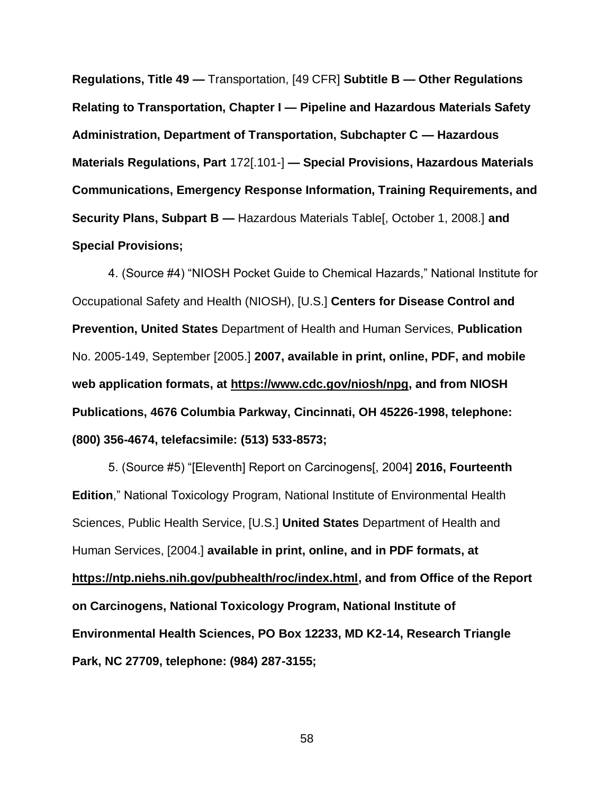**Regulations, Title 49 —** Transportation, [49 CFR] **Subtitle B — Other Regulations Relating to Transportation, Chapter I — Pipeline and Hazardous Materials Safety Administration, Department of Transportation, Subchapter C — Hazardous Materials Regulations, Part** 172[.101-] **— Special Provisions, Hazardous Materials Communications, Emergency Response Information, Training Requirements, and Security Plans, Subpart B —** Hazardous Materials Table[, October 1, 2008.] **and Special Provisions;**

4. (Source #4) "NIOSH Pocket Guide to Chemical Hazards," National Institute for Occupational Safety and Health (NIOSH), [U.S.] **Centers for Disease Control and Prevention, United States** Department of Health and Human Services, **Publication**  No. 2005-149, September [2005.] **2007, available in print, online, PDF, and mobile web application formats, at https://www.cdc.gov/niosh/npg, and from NIOSH Publications, 4676 Columbia Parkway, Cincinnati, OH 45226-1998, telephone: (800) 356-4674, telefacsimile: (513) 533-8573;**

5. (Source #5) "[Eleventh] Report on Carcinogens[, 2004] **2016, Fourteenth Edition**," National Toxicology Program, National Institute of Environmental Health Sciences, Public Health Service, [U.S.] **United States** Department of Health and Human Services, [2004.] **available in print, online, and in PDF formats, at https://ntp.niehs.nih.gov/pubhealth/roc/index.html, and from Office of the Report on Carcinogens, National Toxicology Program, National Institute of Environmental Health Sciences, PO Box 12233, MD K2-14, Research Triangle Park, NC 27709, telephone: (984) 287-3155;**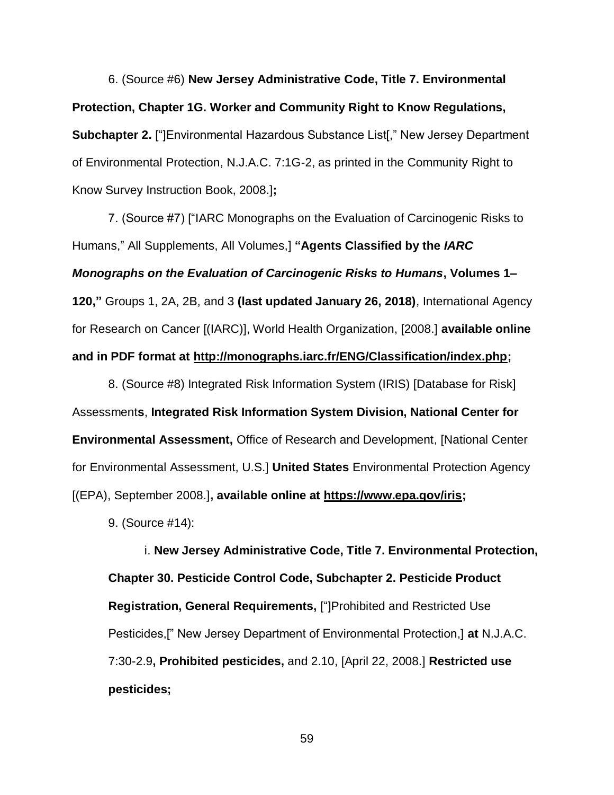6. (Source #6) **New Jersey Administrative Code, Title 7. Environmental Protection, Chapter 1G. Worker and Community Right to Know Regulations, Subchapter 2.** ["]Environmental Hazardous Substance List[," New Jersey Department of Environmental Protection, N.J.A.C. 7:1G-2, as printed in the Community Right to Know Survey Instruction Book, 2008.]**;**

7. (Source #7) ["IARC Monographs on the Evaluation of Carcinogenic Risks to Humans," All Supplements, All Volumes,] **"Agents Classified by the** *IARC Monographs on the Evaluation of Carcinogenic Risks to Humans***, Volumes 1– 120,"** Groups 1, 2A, 2B, and 3 **(last updated January 26, 2018)**, International Agency for Research on Cancer [(IARC)], World Health Organization, [2008.] **available online and in PDF format at http://monographs.iarc.fr/ENG/Classification/index.php;**

8. (Source #8) Integrated Risk Information System (IRIS) [Database for Risk] Assessment**s**, **Integrated Risk Information System Division, National Center for Environmental Assessment,** Office of Research and Development, [National Center for Environmental Assessment, U.S.] **United States** Environmental Protection Agency [(EPA), September 2008.]**, available online at https://www.epa.gov/iris;**

9. (Source #14):

i. **New Jersey Administrative Code, Title 7. Environmental Protection, Chapter 30. Pesticide Control Code, Subchapter 2. Pesticide Product Registration, General Requirements,** ["]Prohibited and Restricted Use Pesticides,[" New Jersey Department of Environmental Protection,] **at** N.J.A.C. 7:30-2.9**, Prohibited pesticides,** and 2.10, [April 22, 2008.] **Restricted use pesticides;**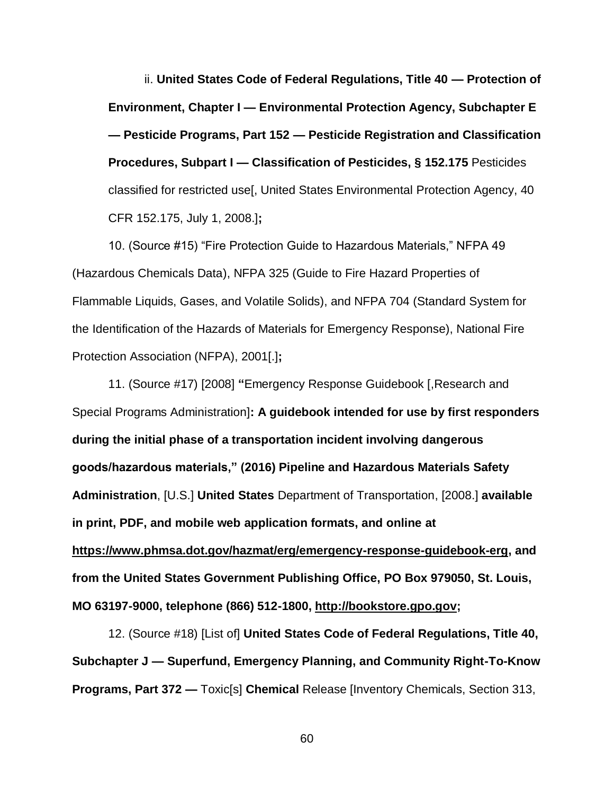ii. **United States Code of Federal Regulations, Title 40 — Protection of Environment, Chapter I — Environmental Protection Agency, Subchapter E — Pesticide Programs, Part 152 — Pesticide Registration and Classification Procedures, Subpart I — Classification of Pesticides, § 152.175** Pesticides classified for restricted use[, United States Environmental Protection Agency, 40 CFR 152.175, July 1, 2008.]**;**

10. (Source #15) "Fire Protection Guide to Hazardous Materials," NFPA 49 (Hazardous Chemicals Data), NFPA 325 (Guide to Fire Hazard Properties of Flammable Liquids, Gases, and Volatile Solids), and NFPA 704 (Standard System for the Identification of the Hazards of Materials for Emergency Response), National Fire Protection Association (NFPA), 2001[.]**;**

11. (Source #17) [2008] **"**Emergency Response Guidebook [,Research and Special Programs Administration]**: A guidebook intended for use by first responders during the initial phase of a transportation incident involving dangerous goods/hazardous materials," (2016) Pipeline and Hazardous Materials Safety Administration**, [U.S.] **United States** Department of Transportation, [2008.] **available in print, PDF, and mobile web application formats, and online at https://www.phmsa.dot.gov/hazmat/erg/emergency-response-guidebook-erg, and from the United States Government Publishing Office, PO Box 979050, St. Louis, MO 63197-9000, telephone (866) 512-1800, http://bookstore.gpo.gov;**

12. (Source #18) [List of] **United States Code of Federal Regulations, Title 40, Subchapter J — Superfund, Emergency Planning, and Community Right-To-Know Programs, Part 372 —** Toxic[s] **Chemical** Release [Inventory Chemicals, Section 313,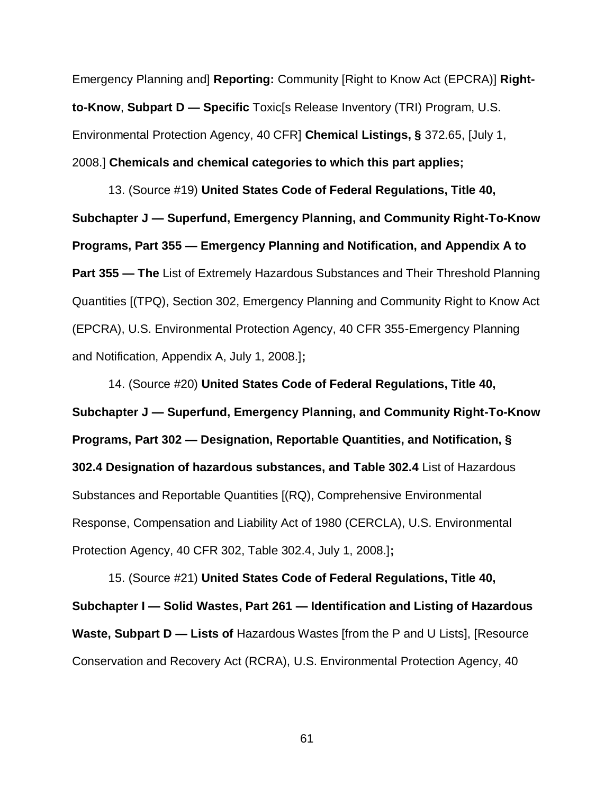Emergency Planning and] **Reporting:** Community [Right to Know Act (EPCRA)] **Rightto-Know**, **Subpart D — Specific** Toxic[s Release Inventory (TRI) Program, U.S. Environmental Protection Agency, 40 CFR] **Chemical Listings, §** 372.65, [July 1, 2008.] **Chemicals and chemical categories to which this part applies;**

13. (Source #19) **United States Code of Federal Regulations, Title 40, Subchapter J — Superfund, Emergency Planning, and Community Right-To-Know Programs, Part 355 — Emergency Planning and Notification, and Appendix A to Part 355 — The** List of Extremely Hazardous Substances and Their Threshold Planning Quantities [(TPQ), Section 302, Emergency Planning and Community Right to Know Act (EPCRA), U.S. Environmental Protection Agency, 40 CFR 355-Emergency Planning and Notification, Appendix A, July 1, 2008.]**;**

14. (Source #20) **United States Code of Federal Regulations, Title 40, Subchapter J — Superfund, Emergency Planning, and Community Right-To-Know Programs, Part 302 — Designation, Reportable Quantities, and Notification, § 302.4 Designation of hazardous substances, and Table 302.4** List of Hazardous Substances and Reportable Quantities [(RQ), Comprehensive Environmental Response, Compensation and Liability Act of 1980 (CERCLA), U.S. Environmental Protection Agency, 40 CFR 302, Table 302.4, July 1, 2008.]**;**

15. (Source #21) **United States Code of Federal Regulations, Title 40, Subchapter I — Solid Wastes, Part 261 — Identification and Listing of Hazardous Waste, Subpart D — Lists of** Hazardous Wastes [from the P and U Lists], [Resource Conservation and Recovery Act (RCRA), U.S. Environmental Protection Agency, 40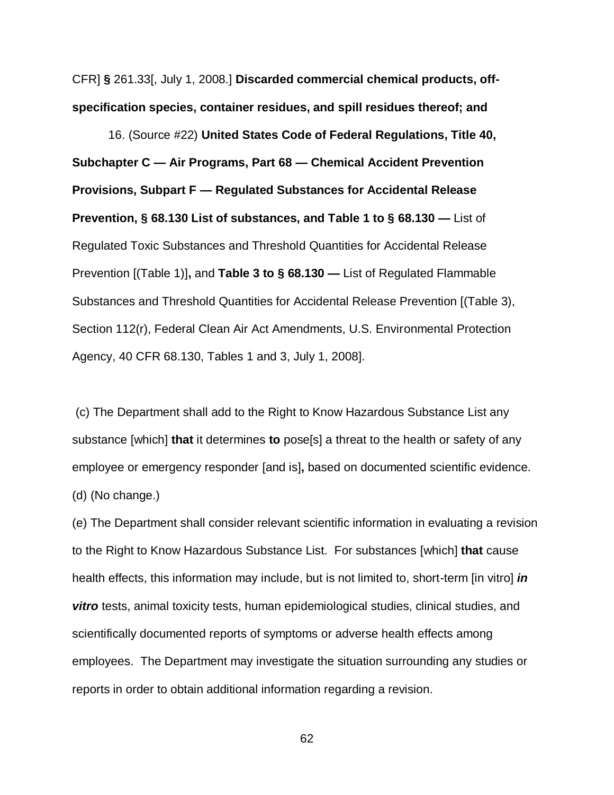CFR] **§** 261.33[, July 1, 2008.] **Discarded commercial chemical products, offspecification species, container residues, and spill residues thereof; and**

16. (Source #22) **United States Code of Federal Regulations, Title 40, Subchapter C — Air Programs, Part 68 — Chemical Accident Prevention Provisions, Subpart F — Regulated Substances for Accidental Release Prevention, § 68.130 List of substances, and Table 1 to § 68.130 —** List of Regulated Toxic Substances and Threshold Quantities for Accidental Release Prevention [(Table 1)]**,** and **Table 3 to § 68.130 —** List of Regulated Flammable Substances and Threshold Quantities for Accidental Release Prevention [(Table 3), Section 112(r), Federal Clean Air Act Amendments, U.S. Environmental Protection Agency, 40 CFR 68.130, Tables 1 and 3, July 1, 2008].

(c) The Department shall add to the Right to Know Hazardous Substance List any substance [which] **that** it determines **to** pose[s] a threat to the health or safety of any employee or emergency responder [and is]**,** based on documented scientific evidence. (d) (No change.)

(e) The Department shall consider relevant scientific information in evaluating a revision to the Right to Know Hazardous Substance List. For substances [which] **that** cause health effects, this information may include, but is not limited to, short-term [in vitro] *in vitro* tests, animal toxicity tests, human epidemiological studies, clinical studies, and scientifically documented reports of symptoms or adverse health effects among employees. The Department may investigate the situation surrounding any studies or reports in order to obtain additional information regarding a revision.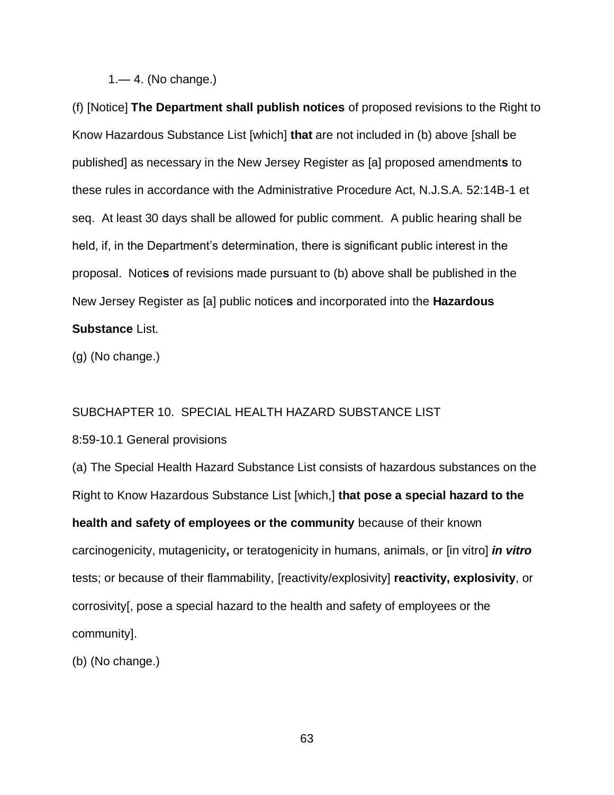### 1.— 4. (No change.)

(f) [Notice] **The Department shall publish notices** of proposed revisions to the Right to Know Hazardous Substance List [which] **that** are not included in (b) above [shall be published] as necessary in the New Jersey Register as [a] proposed amendment**s** to these rules in accordance with the Administrative Procedure Act, N.J.S.A. 52:14B-1 et seq. At least 30 days shall be allowed for public comment. A public hearing shall be held, if, in the Department's determination, there is significant public interest in the proposal. Notice**s** of revisions made pursuant to (b) above shall be published in the New Jersey Register as [a] public notice**s** and incorporated into the **Hazardous Substance** List.

(g) (No change.)

#### SUBCHAPTER 10. SPECIAL HEALTH HAZARD SUBSTANCE LIST

#### 8:59-10.1 General provisions

(a) The Special Health Hazard Substance List consists of hazardous substances on the Right to Know Hazardous Substance List [which,] **that pose a special hazard to the health and safety of employees or the community** because of their known carcinogenicity, mutagenicity**,** or teratogenicity in humans, animals, or [in vitro] *in vitro* tests; or because of their flammability, [reactivity/explosivity] **reactivity, explosivity**, or corrosivity[, pose a special hazard to the health and safety of employees or the community].

(b) (No change.)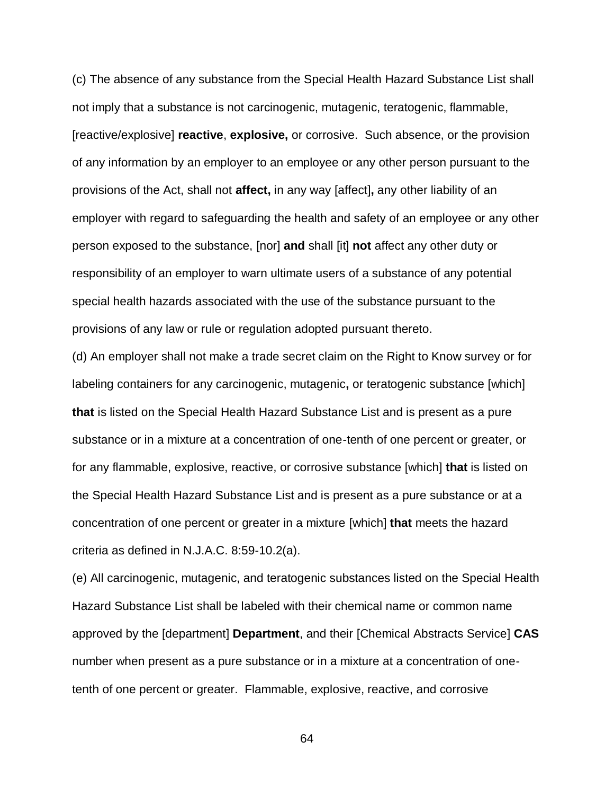(c) The absence of any substance from the Special Health Hazard Substance List shall not imply that a substance is not carcinogenic, mutagenic, teratogenic, flammable, [reactive/explosive] **reactive**, **explosive,** or corrosive. Such absence, or the provision of any information by an employer to an employee or any other person pursuant to the provisions of the Act, shall not **affect,** in any way [affect]**,** any other liability of an employer with regard to safeguarding the health and safety of an employee or any other person exposed to the substance, [nor] **and** shall [it] **not** affect any other duty or responsibility of an employer to warn ultimate users of a substance of any potential special health hazards associated with the use of the substance pursuant to the provisions of any law or rule or regulation adopted pursuant thereto.

(d) An employer shall not make a trade secret claim on the Right to Know survey or for labeling containers for any carcinogenic, mutagenic**,** or teratogenic substance [which] **that** is listed on the Special Health Hazard Substance List and is present as a pure substance or in a mixture at a concentration of one-tenth of one percent or greater, or for any flammable, explosive, reactive, or corrosive substance [which] **that** is listed on the Special Health Hazard Substance List and is present as a pure substance or at a concentration of one percent or greater in a mixture [which] **that** meets the hazard criteria as defined in N.J.A.C. 8:59-10.2(a).

(e) All carcinogenic, mutagenic, and teratogenic substances listed on the Special Health Hazard Substance List shall be labeled with their chemical name or common name approved by the [department] **Department**, and their [Chemical Abstracts Service] **CAS** number when present as a pure substance or in a mixture at a concentration of onetenth of one percent or greater. Flammable, explosive, reactive, and corrosive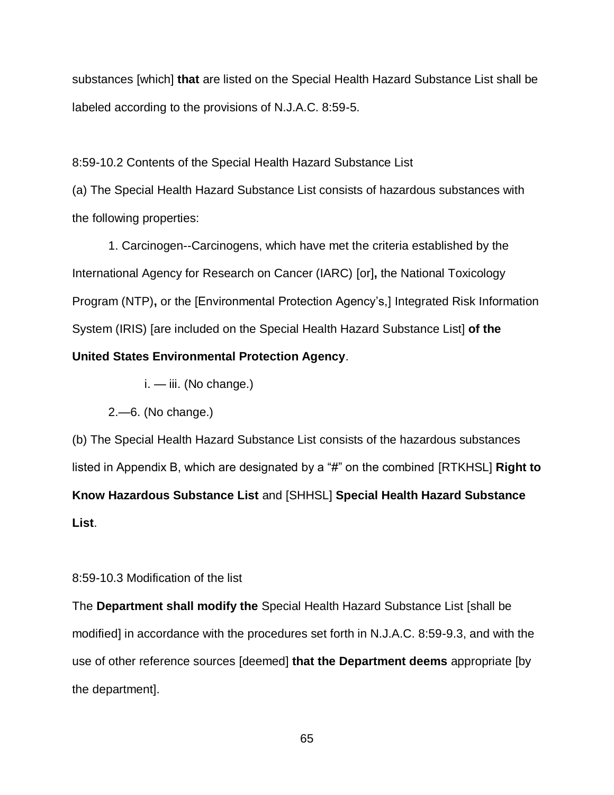substances [which] **that** are listed on the Special Health Hazard Substance List shall be labeled according to the provisions of N.J.A.C. 8:59-5.

8:59-10.2 Contents of the Special Health Hazard Substance List

(a) The Special Health Hazard Substance List consists of hazardous substances with the following properties:

1. Carcinogen--Carcinogens, which have met the criteria established by the International Agency for Research on Cancer (IARC) [or]**,** the National Toxicology Program (NTP)**,** or the [Environmental Protection Agency's,] Integrated Risk Information System (IRIS) [are included on the Special Health Hazard Substance List] **of the** 

## **United States Environmental Protection Agency**.

- $i. iii.$  (No change.)
- 2.—6. (No change.)

(b) The Special Health Hazard Substance List consists of the hazardous substances listed in Appendix B, which are designated by a "#" on the combined [RTKHSL] **Right to Know Hazardous Substance List** and [SHHSL] **Special Health Hazard Substance List**.

## 8:59-10.3 Modification of the list

The **Department shall modify the** Special Health Hazard Substance List [shall be modified] in accordance with the procedures set forth in N.J.A.C. 8:59-9.3, and with the use of other reference sources [deemed] **that the Department deems** appropriate [by the department].